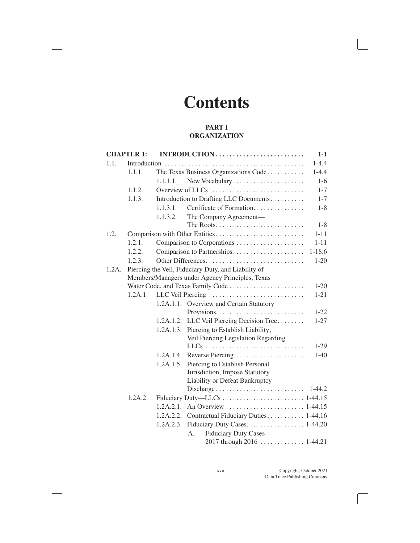# **Contents**

#### **PART I ORGANIZATION**

|          | <b>CHAPTER 1:</b>                                   |           | INTRODUCTION                              | $1-1$      |  |  |
|----------|-----------------------------------------------------|-----------|-------------------------------------------|------------|--|--|
| 1.1.     |                                                     |           |                                           | $1 - 4.4$  |  |  |
|          | 1.1.1.                                              |           | The Texas Business Organizations Code     | $1 - 4.4$  |  |  |
|          |                                                     | 1.1.1.1.  | New Vocabulary                            | $1-6$      |  |  |
|          | 1.1.2.                                              |           |                                           | $1 - 7$    |  |  |
|          | 1.1.3.                                              |           | Introduction to Drafting LLC Documents    | $1 - 7$    |  |  |
|          |                                                     | 1.1.3.1.  | Certificate of Formation                  | $1 - 8$    |  |  |
|          |                                                     | 1.1.3.2.  | The Company Agreement-                    |            |  |  |
|          |                                                     |           |                                           | $1 - 8$    |  |  |
| 1.2.     |                                                     |           | Comparison with Other Entities            | $1 - 11$   |  |  |
|          | 1.2.1.                                              |           |                                           | $1 - 11$   |  |  |
|          | 1.2.2.                                              |           | Comparison to Partnerships                | $1 - 18.6$ |  |  |
|          | 1.2.3.                                              |           |                                           | $1 - 20$   |  |  |
| $1.2A$ . | Piercing the Veil, Fiduciary Duty, and Liability of |           |                                           |            |  |  |
|          | Members/Managers under Agency Principles, Texas     |           |                                           |            |  |  |
|          |                                                     |           | Water Code, and Texas Family Code         | $1 - 20$   |  |  |
|          | 1.2A.1.                                             |           | LLC Veil Piercing                         | $1 - 21$   |  |  |
|          |                                                     |           | 1.2A.1.1. Overview and Certain Statutory  |            |  |  |
|          |                                                     |           |                                           | $1 - 22$   |  |  |
|          |                                                     |           | 1.2A.1.2. LLC Veil Piercing Decision Tree | $1 - 27$   |  |  |
|          |                                                     | 1.2A.1.3. | Piercing to Establish Liability;          |            |  |  |
|          |                                                     |           | Veil Piercing Legislation Regarding       |            |  |  |
|          |                                                     |           |                                           | $1-29$     |  |  |
|          |                                                     | 1.2A.1.4. | Reverse Piercing                          | $1-40$     |  |  |
|          |                                                     | 1.2A.1.5. | Piercing to Establish Personal            |            |  |  |
|          |                                                     |           | Jurisdiction, Impose Statutory            |            |  |  |
|          |                                                     |           | Liability or Defeat Bankruptcy            |            |  |  |
|          |                                                     |           | Discharge                                 | $1 - 44.2$ |  |  |
|          | 1.2A.2.                                             |           |                                           |            |  |  |
|          |                                                     | 1.2A.2.1. |                                           |            |  |  |
|          |                                                     | 1.2A.2.2. | Contractual Fiduciary Duties 1-44.16      |            |  |  |
|          |                                                     | 1.2A.2.3. |                                           |            |  |  |
|          |                                                     |           | Fiduciary Duty Cases-<br>A <sub>1</sub>   |            |  |  |
|          |                                                     |           | 2017 through 2016  1-44.21                |            |  |  |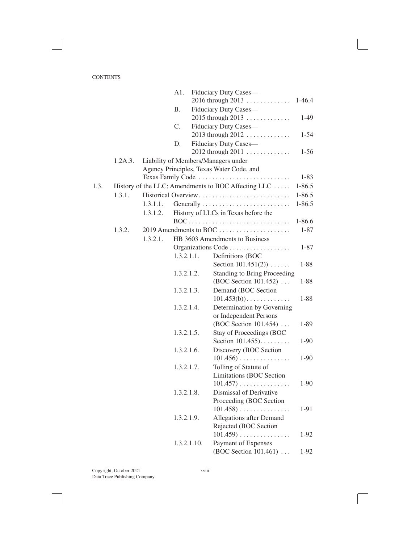|      |         |          | A1.         | Fiduciary Duty Cases-                               |            |
|------|---------|----------|-------------|-----------------------------------------------------|------------|
|      |         |          |             | $2016$ through $2013$                               | $1-46.4$   |
|      |         |          | <b>B.</b>   | Fiduciary Duty Cases-                               |            |
|      |         |          |             | 2015 through 2013                                   | $1-49$     |
|      |         |          | C.          | Fiduciary Duty Cases-                               |            |
|      |         |          |             | 2013 through 2012                                   | $1 - 54$   |
|      |         |          | D.          | Fiduciary Duty Cases-                               |            |
|      |         |          |             | 2012 through 2011                                   | $1-56$     |
|      | 1.2A.3. |          |             | Liability of Members/Managers under                 |            |
|      |         |          |             | Agency Principles, Texas Water Code, and            |            |
|      |         |          |             | Texas Family Code                                   | $1 - 83$   |
| 1.3. |         |          |             | History of the LLC; Amendments to BOC Affecting LLC | $1 - 86.5$ |
|      | 1.3.1.  |          |             | Historical Overview                                 | $1 - 86.5$ |
|      |         | 1.3.1.1. |             |                                                     | $1 - 86.5$ |
|      |         | 1.3.1.2. |             | History of LLCs in Texas before the                 |            |
|      |         |          |             | BOC                                                 | $1 - 86.6$ |
|      | 1.3.2.  |          |             | 2019 Amendments to BOC                              | $1 - 87$   |
|      |         | 1.3.2.1. |             | HB 3603 Amendments to Business                      |            |
|      |         |          |             | Organizations Code                                  | $1 - 87$   |
|      |         |          | 1.3.2.1.1.  | Definitions (BOC                                    |            |
|      |         |          |             | Section $101.451(2)$                                | $1 - 88$   |
|      |         |          | 1.3.2.1.2.  | <b>Standing to Bring Proceeding</b>                 |            |
|      |         |          |             | (BOC Section 101.452)                               | $1 - 88$   |
|      |         |          | 1.3.2.1.3.  | Demand (BOC Section                                 |            |
|      |         |          |             | $101.453(b))\ldots\ldots\ldots\ldots$               | $1 - 88$   |
|      |         |          | 1.3.2.1.4.  | Determination by Governing                          |            |
|      |         |          |             | or Independent Persons                              |            |
|      |         |          |             | (BOC Section 101.454)                               | $1 - 89$   |
|      |         |          | 1.3.2.1.5.  | <b>Stay of Proceedings (BOC</b>                     |            |
|      |         |          |             | Section $101.455$                                   | $1-90$     |
|      |         |          | 1.3.2.1.6.  | Discovery (BOC Section                              |            |
|      |         |          |             | $101.456) \ldots \ldots \ldots \ldots$              | $1-90$     |
|      |         |          | 1.3.2.1.7.  | Tolling of Statute of                               |            |
|      |         |          |             | Limitations (BOC Section                            |            |
|      |         |          |             | $101.457) \ldots \ldots \ldots \ldots$              | $1-90$     |
|      |         |          | 1.3.2.1.8.  | Dismissal of Derivative                             |            |
|      |         |          |             | Proceeding (BOC Section                             |            |
|      |         |          |             | $101.458)$                                          | $1-91$     |
|      |         |          | 1.3.2.1.9.  | Allegations after Demand                            |            |
|      |         |          |             | Rejected (BOC Section                               |            |
|      |         |          |             | $101.459) \ldots \ldots \ldots \ldots \ldots$       | $1-92$     |
|      |         |          | 1.3.2.1.10. | Payment of Expenses                                 |            |
|      |         |          |             | (BOC Section 101.461)                               | $1-92$     |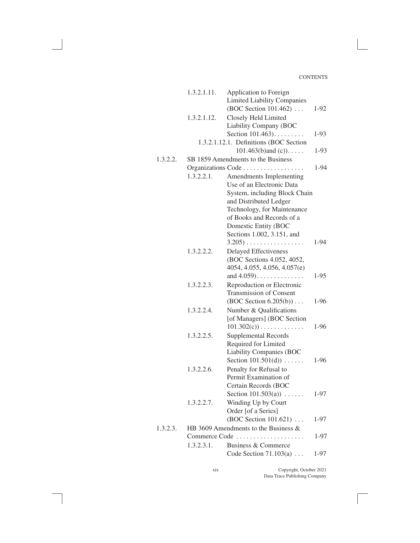|          | 1.3.2.1.11. | Application to Foreign                      |          |
|----------|-------------|---------------------------------------------|----------|
|          |             | <b>Limited Liability Companies</b>          |          |
|          |             | (BOC Section 101.462)                       | $1-92$   |
|          | 1.3.2.1.12. | Closely Held Limited                        |          |
|          |             | Liability Company (BOC                      |          |
|          |             | Section 101.463).                           | 1-93     |
|          |             | 1.3.2.1.12.1. Definitions (BOC Section      |          |
|          |             | $101.463(b)$ and (c)).                      | 1-93     |
| 1.3.2.2. |             | SB 1859 Amendments to the Business          |          |
|          |             | Organizations Code                          | $1 - 94$ |
|          | 1.3.2.2.1.  | Amendments Implementing                     |          |
|          |             | Use of an Electronic Data                   |          |
|          |             | System, including Block Chain               |          |
|          |             | and Distributed Ledger                      |          |
|          |             | Technology, for Maintenance                 |          |
|          |             | of Books and Records of a                   |          |
|          |             | Domestic Entity (BOC                        |          |
|          |             | Sections 1.002, 3.151, and                  |          |
|          |             | $3.205) \ldots \ldots \ldots \ldots \ldots$ | 1-94     |
|          | 1.3.2.2.2.  | <b>Delayed Effectiveness</b>                |          |
|          |             | (BOC Sections 4.052, 4052,                  |          |
|          |             | 4054, 4.055, 4.056, 4.057(e)                |          |
|          |             | and $4.059$                                 | $1-95$   |
|          | 1.3.2.2.3.  | Reproduction or Electronic                  |          |
|          |             | <b>Transmission of Consent</b>              |          |
|          |             | $(BOC Section 6.205(b)) \dots$              | 1-96     |
|          |             |                                             |          |
|          | 1.3.2.2.4.  | Number & Qualifications                     |          |
|          |             | [of Managers] (BOC Section                  |          |
|          |             | $101.302(c)) \ldots \ldots \ldots \ldots$   | $1-96$   |
|          | 1.3.2.2.5.  | <b>Supplemental Records</b>                 |          |
|          |             | Required for Limited                        |          |
|          |             | <b>Liability Companies (BOC</b>             |          |
|          |             | Section $101.501(d))$                       | $1-96$   |
|          | 1.3.2.2.6.  | Penalty for Refusal to                      |          |
|          |             | Permit Examination of                       |          |
|          |             | Certain Records (BOC                        |          |
|          |             | Section $101.503(a)$                        | 1-97     |
|          | 1.3.2.2.7.  | Winding Up by Court                         |          |
|          |             | Order [of a Series]                         |          |
|          |             | (BOC Section 101.621)                       | 1-97     |
| 1.3.2.3. |             | HB 3609 Amendments to the Business $\&$     |          |
|          |             | Commerce Code                               | $1 - 97$ |
|          | 1.3.2.3.1.  | Business & Commerce                         |          |
|          |             | Code Section $71.103(a) \ldots$             | 1-97     |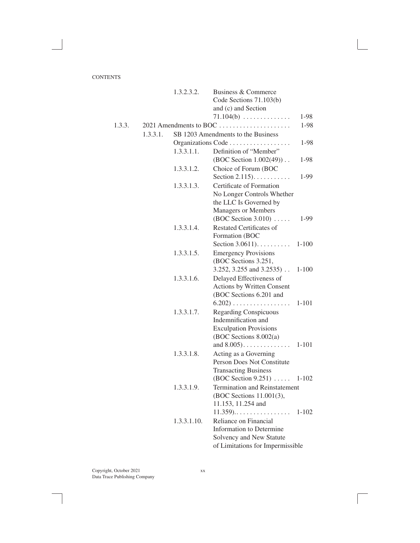|        |          | 1.3.2.3.2.  | Business & Commerce                                        |           |
|--------|----------|-------------|------------------------------------------------------------|-----------|
|        |          |             | Code Sections 71.103(b)                                    |           |
|        |          |             | and (c) and Section                                        |           |
|        |          |             | $71.104(b) \ldots \ldots \ldots \ldots$                    | 1-98      |
| 1.3.3. |          |             | 2021 Amendments to BOC                                     | 1-98      |
|        | 1.3.3.1. |             | SB 1203 Amendments to the Business                         |           |
|        |          |             | Organizations Code                                         | 1-98      |
|        |          | 1.3.3.1.1.  | Definition of "Member"                                     |           |
|        |          |             | (BOC Section $1.002(49)$ )                                 | 1-98      |
|        |          | 1.3.3.1.2.  | Choice of Forum (BOC                                       |           |
|        |          |             | Section $2.115$ .                                          | 1-99      |
|        |          | 1.3.3.1.3.  | Certificate of Formation                                   |           |
|        |          |             | No Longer Controls Whether                                 |           |
|        |          |             | the LLC Is Governed by                                     |           |
|        |          |             | <b>Managers or Members</b>                                 |           |
|        |          |             | $(BOC Section 3.010) \dots$                                | 1-99      |
|        |          | 1.3.3.1.4.  | <b>Restated Certificates of</b>                            |           |
|        |          |             | Formation (BOC                                             |           |
|        |          |             | Section $3.0611$ )                                         | $1 - 100$ |
|        |          | 1.3.3.1.5.  | <b>Emergency Provisions</b>                                |           |
|        |          |             | (BOC Sections 3.251,                                       |           |
|        |          |             | $3.252$ , $3.255$ and $3.2535$ )                           | $1 - 100$ |
|        |          | 1.3.3.1.6.  | Delayed Effectiveness of                                   |           |
|        |          |             | <b>Actions by Written Consent</b>                          |           |
|        |          |             | (BOC Sections 6.201 and                                    |           |
|        |          |             | $6.202) \ldots \ldots \ldots \ldots \ldots$                | $1 - 101$ |
|        |          | 1.3.3.1.7.  | <b>Regarding Conspicuous</b>                               |           |
|        |          |             | Indemnification and                                        |           |
|        |          |             | <b>Exculpation Provisions</b>                              |           |
|        |          |             | (BOC Sections 8.002(a)                                     |           |
|        |          |             | and $8.005)$                                               | $1 - 101$ |
|        |          | 1.3.3.1.8.  | Acting as a Governing                                      |           |
|        |          |             | Person Does Not Constitute                                 |           |
|        |          |             | <b>Transacting Business</b>                                |           |
|        |          |             | $(BOC Section 9.251) \dots$                                | 1-102     |
|        |          | 1.3.3.1.9.  | Termination and Reinstatement                              |           |
|        |          |             | (BOC Sections 11.001(3),                                   |           |
|        |          |             | 11.153, 11.254 and<br>$11.359 \ldots \ldots \ldots \ldots$ |           |
|        |          |             | Reliance on Financial                                      | 1-102     |
|        |          | 1.3.3.1.10. | Information to Determine                                   |           |
|        |          |             | Solvency and New Statute                                   |           |
|        |          |             |                                                            |           |
|        |          |             | of Limitations for Impermissible                           |           |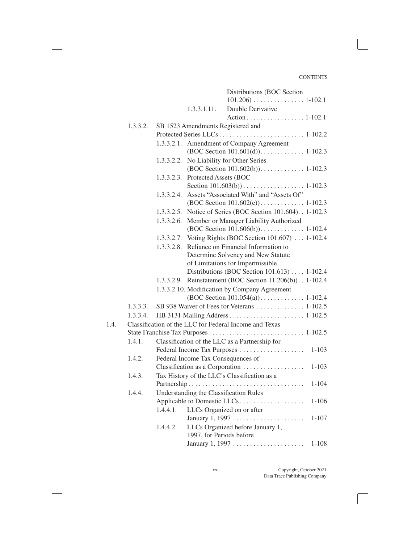|      |          |            |                                    | Distributions (BOC Section                                   |           |  |  |
|------|----------|------------|------------------------------------|--------------------------------------------------------------|-----------|--|--|
|      |          |            |                                    |                                                              |           |  |  |
|      |          |            | 1.3.3.1.11.                        | Double Derivative                                            |           |  |  |
|      |          |            |                                    | Action 1-102.1                                               |           |  |  |
|      | 1.3.3.2. |            | SB 1523 Amendments Registered and  |                                                              |           |  |  |
|      |          |            |                                    |                                                              |           |  |  |
|      |          |            |                                    | 1.3.3.2.1. Amendment of Company Agreement                    |           |  |  |
|      |          |            |                                    |                                                              |           |  |  |
|      |          | 1.3.3.2.2. |                                    | No Liability for Other Series                                |           |  |  |
|      |          |            |                                    |                                                              |           |  |  |
|      |          |            | 1.3.3.2.3. Protected Assets (BOC   |                                                              |           |  |  |
|      |          |            |                                    |                                                              |           |  |  |
|      |          | 1.3.3.2.4. |                                    | Assets "Associated With" and "Assets Of"                     |           |  |  |
|      |          |            |                                    |                                                              |           |  |  |
|      |          |            |                                    | 1.3.3.2.5. Notice of Series (BOC Section 101.604). . 1-102.3 |           |  |  |
|      |          | 1.3.3.2.6. |                                    | Member or Manager Liability Authorized                       |           |  |  |
|      |          |            |                                    |                                                              |           |  |  |
|      |          | 1.3.3.2.7. |                                    | Voting Rights (BOC Section 101.607)  1-102.4                 |           |  |  |
|      |          | 1.3.3.2.8. |                                    | Reliance on Financial Information to                         |           |  |  |
|      |          |            |                                    | Determine Solvency and New Statute                           |           |  |  |
|      |          |            |                                    | of Limitations for Impermissible                             |           |  |  |
|      |          |            |                                    | Distributions (BOC Section 101.613) 1-102.4                  |           |  |  |
|      |          |            |                                    | 1.3.3.2.9. Reinstatement (BOC Section 11.206(b)). . 1-102.4  |           |  |  |
|      |          |            |                                    | 1.3.3.2.10. Modification by Company Agreement                |           |  |  |
|      |          |            |                                    |                                                              |           |  |  |
|      | 1.3.3.3. |            |                                    | SB 938 Waiver of Fees for Veterans  1-102.5                  |           |  |  |
|      | 1.3.3.4. |            |                                    |                                                              |           |  |  |
| 1.4. |          |            |                                    | Classification of the LLC for Federal Income and Texas       |           |  |  |
|      |          |            |                                    |                                                              |           |  |  |
|      | 1.4.1.   |            |                                    | Classification of the LLC as a Partnership for               |           |  |  |
|      |          |            | Federal Income Tax Purposes        |                                                              |           |  |  |
|      | 1.4.2.   |            | Federal Income Tax Consequences of |                                                              |           |  |  |
|      |          |            |                                    | Classification as a Corporation                              | $1 - 103$ |  |  |
|      | 1.4.3.   |            |                                    | Tax History of the LLC's Classification as a                 |           |  |  |
|      |          |            |                                    |                                                              | $1 - 104$ |  |  |
|      | 1.4.4.   |            |                                    | Understanding the Classification Rules                       |           |  |  |
|      |          |            |                                    |                                                              | $1 - 106$ |  |  |
|      |          | 1.4.4.1.   |                                    | LLCs Organized on or after                                   |           |  |  |
|      |          |            |                                    |                                                              | $1 - 107$ |  |  |
|      |          | 1.4.4.2.   |                                    | LLCs Organized before January 1,                             |           |  |  |
|      |          |            | 1997, for Periods before           |                                                              |           |  |  |
|      |          |            |                                    |                                                              | $1 - 108$ |  |  |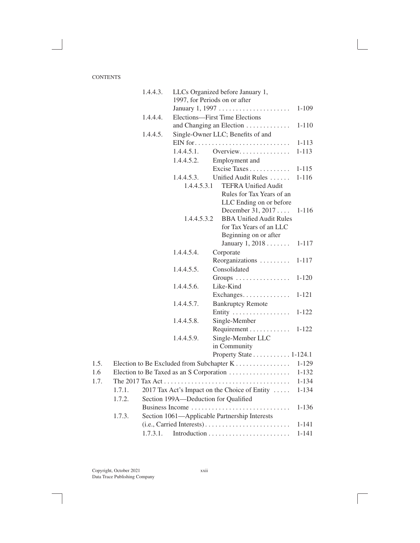|      |        | 1.4.4.3. |             | LLCs Organized before January 1,              |           |
|------|--------|----------|-------------|-----------------------------------------------|-----------|
|      |        |          |             | 1997, for Periods on or after                 |           |
|      |        |          |             | January 1, 1997                               | 1-109     |
|      |        | 1.4.4.4. |             | Elections-First Time Elections                |           |
|      |        |          |             | and Changing an Election                      | 1-110     |
|      |        | 1.4.4.5. |             | Single-Owner LLC; Benefits of and             |           |
|      |        |          |             |                                               | 1-113     |
|      |        |          | 1.4.4.5.1.  | Overview                                      | $1 - 113$ |
|      |        |          | 1.4.4.5.2.  | Employment and                                |           |
|      |        |          |             | Excise Taxes                                  | $1 - 115$ |
|      |        |          | 1.4.4.5.3.  | Unified Audit Rules                           | $1 - 116$ |
|      |        |          | 1.4.4.5.3.1 | <b>TEFRA Unified Audit</b>                    |           |
|      |        |          |             | Rules for Tax Years of an                     |           |
|      |        |          |             | LLC Ending on or before                       |           |
|      |        |          |             | December 31, 2017                             | $1 - 116$ |
|      |        |          | 1.4.4.5.3.2 | <b>BBA Unified Audit Rules</b>                |           |
|      |        |          |             | for Tax Years of an LLC                       |           |
|      |        |          |             | Beginning on or after                         |           |
|      |        |          |             | January $1, 2018 \ldots \ldots$               | $1 - 117$ |
|      |        |          | 1.4.4.5.4.  | Corporate                                     |           |
|      |        |          |             | Reorganizations                               | 1-117     |
|      |        |          | 1.4.4.5.5.  | Consolidated                                  |           |
|      |        |          |             | Groups                                        | $1 - 120$ |
|      |        |          | 1.4.4.5.6.  | Like-Kind                                     |           |
|      |        |          |             | Exchanges                                     | $1 - 121$ |
|      |        |          | 1.4.4.5.7.  | <b>Bankruptcy Remote</b>                      |           |
|      |        |          |             | Entity                                        | $1 - 122$ |
|      |        |          | 1.4.4.5.8.  | Single-Member                                 |           |
|      |        |          |             | Requirement                                   | $1 - 122$ |
|      |        |          | 1.4.4.5.9.  | Single-Member LLC                             |           |
|      |        |          |             | in Community                                  |           |
|      |        |          |             | Property State 1-124.1                        |           |
| 1.5. |        |          |             | Election to Be Excluded from Subchapter K     | $1 - 129$ |
| 1.6  |        |          |             | Election to Be Taxed as an S Corporation      | $1 - 132$ |
| 1.7. |        |          |             |                                               | $1 - 134$ |
|      | 1.7.1. |          |             | 2017 Tax Act's Impact on the Choice of Entity | $1 - 134$ |
|      | 1.7.2. |          |             | Section 199A-Deduction for Qualified          |           |
|      |        |          |             | Business Income                               | $1 - 136$ |
|      | 1.7.3. |          |             | Section 1061—Applicable Partnership Interests |           |
|      |        |          |             | (i.e., Carried Interests)                     | $1 - 141$ |
|      |        | 1.7.3.1. |             |                                               | $1 - 141$ |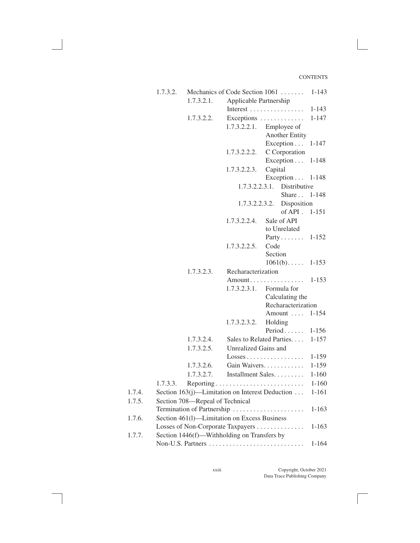|        | 1.7.3.2. |                                 | Mechanics of Code Section 1061                  |                 |                            | $1 - 143$ |
|--------|----------|---------------------------------|-------------------------------------------------|-----------------|----------------------------|-----------|
|        |          | 1.7.3.2.1.                      | Applicable Partnership                          |                 |                            |           |
|        |          |                                 | Interest                                        |                 |                            | $1 - 143$ |
|        |          | 1.7.3.2.2.                      | Exceptions $\dots\dots\dots\dots$               |                 |                            | $1 - 147$ |
|        |          |                                 | 1.7.3.2.2.1.                                    |                 | Employee of                |           |
|        |          |                                 |                                                 |                 | <b>Another Entity</b>      |           |
|        |          |                                 |                                                 |                 | Exception                  | $1 - 147$ |
|        |          |                                 | 1.7.3.2.2.2.                                    |                 | C Corporation              |           |
|        |          |                                 |                                                 |                 | Exception                  | $1 - 148$ |
|        |          |                                 | 1.7.3.2.2.3.                                    | Capital         |                            |           |
|        |          |                                 |                                                 |                 | Exception                  | 1-148     |
|        |          |                                 | 1.7.3.2.2.3.1.                                  |                 | Distributive               |           |
|        |          |                                 |                                                 |                 | Share 1-148                |           |
|        |          |                                 |                                                 |                 | 1.7.3.2.2.3.2. Disposition |           |
|        |          |                                 |                                                 |                 | $of API$ .                 | $1 - 151$ |
|        |          |                                 | 1.7.3.2.2.4.                                    |                 | Sale of API                |           |
|        |          |                                 |                                                 |                 | to Unrelated               |           |
|        |          |                                 |                                                 |                 | $Party \ldots \ldots$      | $1 - 152$ |
|        |          |                                 | 1.7.3.2.2.5.                                    | Code<br>Section |                            |           |
|        |          |                                 |                                                 |                 | $1061(b) \ldots$ .         | $1 - 153$ |
|        |          | 1.7.3.2.3.                      | Recharacterization                              |                 |                            |           |
|        |          |                                 | $Amount \dots \dots \dots \dots \dots$          |                 |                            | 1-153     |
|        |          |                                 | 1.7.3.2.3.1.                                    |                 | Formula for                |           |
|        |          |                                 |                                                 |                 | Calculating the            |           |
|        |          |                                 |                                                 |                 | Recharacterization         |           |
|        |          |                                 |                                                 |                 | Amount                     | $1 - 154$ |
|        |          |                                 | 1.7.3.2.3.2.                                    |                 | Holding                    |           |
|        |          |                                 |                                                 |                 | Period                     | $1 - 156$ |
|        |          | 1.7.3.2.4.                      | Sales to Related Parties.                       |                 |                            | $1 - 157$ |
|        |          | 1.7.3.2.5.                      | Unrealized Gains and                            |                 |                            |           |
|        |          |                                 | $Losses \ldots \ldots \ldots \ldots$            |                 |                            | 1-159     |
|        |          | 1.7.3.2.6.                      | Gain Waivers.                                   |                 |                            | $1 - 159$ |
|        |          | 1.7.3.2.7.                      | Installment Sales                               |                 |                            | $1 - 160$ |
|        | 1.7.3.3. |                                 |                                                 |                 |                            | $1 - 160$ |
| 1.7.4. |          |                                 | Section 163(j)—Limitation on Interest Deduction |                 |                            | 1-161     |
| 1.7.5. |          | Section 708—Repeal of Technical |                                                 |                 |                            |           |
|        |          |                                 | Termination of Partnership                      |                 |                            | 1-163     |
| 1.7.6. |          |                                 | Section 461(1)-Limitation on Excess Business    |                 |                            |           |
|        |          |                                 | Losses of Non-Corporate Taxpayers               |                 |                            | 1-163     |
| 1.7.7. |          |                                 | Section 1446(f)-Withholding on Transfers by     |                 |                            |           |
|        |          |                                 |                                                 |                 |                            | $1 - 164$ |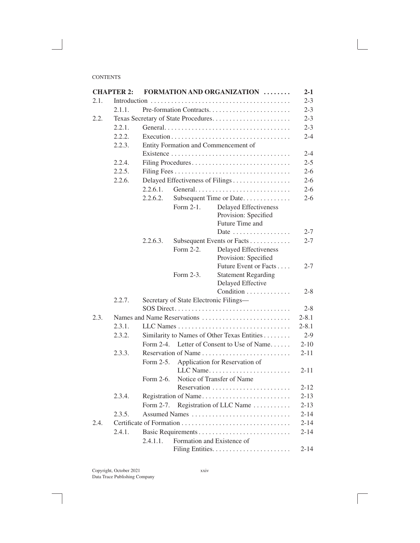|      | <b>CHAPTER 2:</b> |                                      |                                        | <b>FORMATION AND ORGANIZATION </b>            | $2 - 1$  |  |  |  |
|------|-------------------|--------------------------------------|----------------------------------------|-----------------------------------------------|----------|--|--|--|
| 2.1. |                   |                                      |                                        |                                               |          |  |  |  |
|      | 2.1.1.            |                                      |                                        |                                               | $2 - 3$  |  |  |  |
| 2.2. |                   |                                      |                                        | Texas Secretary of State Procedures           | $2 - 3$  |  |  |  |
|      | 2.2.1.            |                                      |                                        |                                               | $2 - 3$  |  |  |  |
|      | 2.2.2.            |                                      |                                        |                                               |          |  |  |  |
|      | 2.2.3.            | Entity Formation and Commencement of |                                        |                                               |          |  |  |  |
|      |                   |                                      |                                        |                                               | $2 - 4$  |  |  |  |
|      | 2.2.4.            |                                      |                                        | Filing Procedures                             | $2 - 5$  |  |  |  |
|      | 2.2.5.            |                                      |                                        |                                               | $2 - 6$  |  |  |  |
|      | 2.2.6.            |                                      |                                        | Delayed Effectiveness of Filings              | $2 - 6$  |  |  |  |
|      |                   | 2.2.6.1.                             |                                        |                                               |          |  |  |  |
|      |                   | 2.2.6.2.                             |                                        | Subsequent Time or Date                       | $2 - 6$  |  |  |  |
|      |                   |                                      | Form 2-1.                              | <b>Delayed Effectiveness</b>                  |          |  |  |  |
|      |                   |                                      |                                        | Provision: Specified                          |          |  |  |  |
|      |                   |                                      |                                        | Future Time and                               |          |  |  |  |
|      |                   |                                      |                                        | Date                                          | $2 - 7$  |  |  |  |
|      |                   | 2.2.6.3.                             |                                        | Subsequent Events or Facts                    | $2 - 7$  |  |  |  |
|      |                   |                                      | Form 2-2.                              | <b>Delayed Effectiveness</b>                  |          |  |  |  |
|      |                   |                                      |                                        | Provision: Specified<br>Future Event or Facts | $2 - 7$  |  |  |  |
|      |                   |                                      | Form 2-3.                              | <b>Statement Regarding</b>                    |          |  |  |  |
|      |                   |                                      |                                        | Delayed Effective                             |          |  |  |  |
|      |                   |                                      |                                        | Condition                                     | $2 - 8$  |  |  |  |
|      | 2.2.7.            |                                      | Secretary of State Electronic Filings- |                                               |          |  |  |  |
|      |                   |                                      |                                        | SOS Direct                                    | $2 - 8$  |  |  |  |
| 2.3. |                   |                                      |                                        |                                               |          |  |  |  |
|      | 2.3.1.            |                                      |                                        |                                               |          |  |  |  |
|      | 2.3.2.            |                                      |                                        | Similarity to Names of Other Texas Entities   | $2-9$    |  |  |  |
|      |                   | Form 2-4.                            |                                        | Letter of Consent to Use of Name              | $2 - 10$ |  |  |  |
|      | 2.3.3.            |                                      |                                        |                                               |          |  |  |  |
|      |                   | Form 2-5.                            |                                        | Application for Reservation of                |          |  |  |  |
|      |                   |                                      |                                        | LLC Name                                      | $2 - 11$ |  |  |  |
|      |                   | Form 2-6.                            |                                        | Notice of Transfer of Name                    |          |  |  |  |
|      |                   |                                      |                                        |                                               | 2-12     |  |  |  |
|      | 2.3.4.            |                                      |                                        | Registration of Name                          | $2 - 13$ |  |  |  |
|      |                   | Form 2-7.                            |                                        | Registration of LLC Name                      | $2 - 13$ |  |  |  |
|      | 2.3.5.            |                                      |                                        | Assumed Names                                 | $2 - 14$ |  |  |  |
| 2.4. |                   |                                      |                                        |                                               | $2 - 14$ |  |  |  |
|      | 2.4.1.            |                                      |                                        |                                               | $2 - 14$ |  |  |  |
|      |                   | 2.4.1.1.                             | Formation and Existence of             |                                               |          |  |  |  |
|      |                   |                                      |                                        |                                               | $2 - 14$ |  |  |  |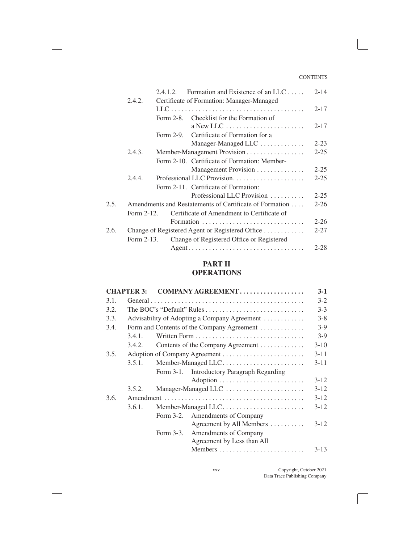|      |                                                         | 2.4.1.2.  | Formation and Existence of an LLC                           | $2 - 14$ |
|------|---------------------------------------------------------|-----------|-------------------------------------------------------------|----------|
|      | 2.4.2.                                                  |           | Certificate of Formation: Manager-Managed                   |          |
|      |                                                         |           |                                                             | $2 - 17$ |
|      |                                                         |           | Form 2-8. Checklist for the Formation of                    |          |
|      |                                                         |           | $a$ New LLC $\dots\dots\dots\dots\dots\dots\dots\dots\dots$ | $2 - 17$ |
|      |                                                         | Form 2-9. | Certificate of Formation for a                              |          |
|      |                                                         |           | Manager-Managed LLC                                         | $2 - 23$ |
|      | 2.4.3.                                                  |           | Member-Management Provision                                 | $2 - 25$ |
|      |                                                         |           | Form 2-10. Certificate of Formation: Member-                |          |
|      |                                                         |           | Management Provision                                        | $2 - 25$ |
|      | 2.4.4.                                                  |           |                                                             | $2 - 25$ |
|      |                                                         |           | Form 2-11. Certificate of Formation:                        |          |
|      |                                                         |           | Professional LLC Provision                                  | $2 - 25$ |
| 2.5. | Amendments and Restatements of Certificate of Formation |           |                                                             |          |
|      | Form 2-12.                                              |           | Certificate of Amendment to Certificate of                  |          |
|      |                                                         |           | Formation                                                   | $2 - 26$ |
| 2.6. | Change of Registered Agent or Registered Office         |           |                                                             |          |
|      | Form 2-13.                                              |           | Change of Registered Office or Registered                   |          |
|      |                                                         |           | Agent                                                       | $2 - 28$ |
|      |                                                         |           |                                                             |          |

## **PART II**

## **OPERATIONS**

|      | <b>CHAPTER 3:</b>                          |           | COMPANY AGREEMENT                            | $3-1$    |
|------|--------------------------------------------|-----------|----------------------------------------------|----------|
| 3.1. |                                            |           |                                              | $3-2$    |
| 3.2. |                                            |           |                                              | $3 - 3$  |
| 3.3. |                                            |           | Advisability of Adopting a Company Agreement | $3 - 8$  |
| 3.4. | Form and Contents of the Company Agreement |           |                                              |          |
|      | 3.4.1.                                     |           |                                              | $3-9$    |
|      | 3.4.2.                                     |           | Contents of the Company Agreement            | $3 - 10$ |
| 3.5. |                                            |           |                                              | $3 - 11$ |
|      | 3.5.1.                                     |           | Member-Managed LLC                           | $3 - 11$ |
|      |                                            |           | Form 3-1. Introductory Paragraph Regarding   |          |
|      |                                            |           |                                              | $3 - 12$ |
|      | 3.5.2.                                     |           | Manager-Managed LLC                          | $3-12$   |
| 3.6. |                                            |           |                                              | $3-12$   |
|      | 3.6.1.                                     |           | Member-Managed LLC                           | $3-12$   |
|      |                                            |           | Form 3-2. Amendments of Company              |          |
|      |                                            |           | Agreement by All Members                     | $3 - 12$ |
|      |                                            | Form 3-3. | Amendments of Company                        |          |
|      |                                            |           | Agreement by Less than All                   |          |
|      |                                            |           |                                              | $3 - 13$ |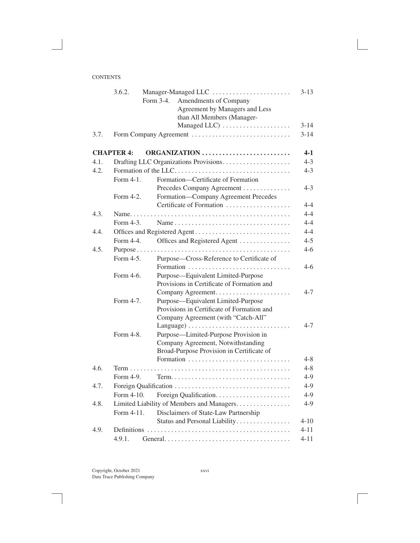|      | 3.6.2.            | Manager-Managed LLC<br>Form 3-4.<br>Amendments of Company | $3 - 13$ |
|------|-------------------|-----------------------------------------------------------|----------|
|      |                   | Agreement by Managers and Less                            |          |
|      |                   | than All Members (Manager-                                |          |
|      |                   | Managed LLC)                                              | $3 - 14$ |
| 3.7. |                   | Form Company Agreement                                    | $3 - 14$ |
|      | <b>CHAPTER 4:</b> | ORGANIZATION                                              | $4-1$    |
| 4.1. |                   |                                                           | $4 - 3$  |
| 4.2. |                   | Formation of the LLC                                      | $4 - 3$  |
|      | Form 4-1.         | Formation-Certificate of Formation                        |          |
|      |                   | Precedes Company Agreement                                | $4 - 3$  |
|      | Form 4-2.         | Formation-Company Agreement Precedes                      |          |
|      |                   | Certificate of Formation                                  | $4 - 4$  |
| 4.3. |                   |                                                           | $4 - 4$  |
|      | Form 4-3.         | Name                                                      | $4 - 4$  |
| 4.4. |                   | Offices and Registered Agent                              | $4 - 4$  |
|      | Form 4-4.         | Offices and Registered Agent                              | $4 - 5$  |
| 4.5. |                   |                                                           | $4 - 6$  |
|      | Form 4-5.         | Purpose-Cross-Reference to Certificate of                 |          |
|      |                   |                                                           | $4-6$    |
|      | Form 4-6.         | Purpose-Equivalent Limited-Purpose                        |          |
|      |                   | Provisions in Certificate of Formation and                |          |
|      |                   |                                                           | $4 - 7$  |
|      | Form 4-7.         | Purpose—Equivalent Limited-Purpose                        |          |
|      |                   | Provisions in Certificate of Formation and                |          |
|      |                   | Company Agreement (with "Catch-All"                       |          |
|      |                   |                                                           | $4 - 7$  |
|      | Form 4-8.         | Purpose—Limited-Purpose Provision in                      |          |
|      |                   | Company Agreement, Notwithstanding                        |          |
|      |                   | Broad-Purpose Provision in Certificate of                 |          |
|      |                   |                                                           | 4-8      |
| 4.6. |                   |                                                           | $4 - 8$  |
|      | Form 4-9.         |                                                           | $4-9$    |
| 4.7. |                   |                                                           | $4-9$    |
|      | Form 4-10.        |                                                           | $4-9$    |
| 4.8. |                   | Limited Liability of Members and Managers                 | $4-9$    |
|      | Form 4-11.        | Disclaimers of State-Law Partnership                      |          |
|      |                   | Status and Personal Liability                             | $4 - 10$ |
| 4.9. |                   |                                                           | $4 - 11$ |
|      | 4.9.1.            |                                                           | $4 - 11$ |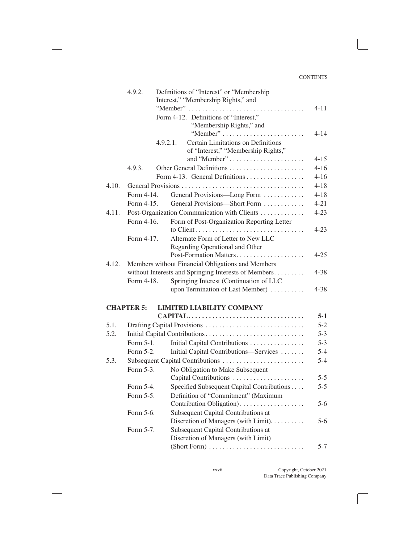|       | 4.9.2.                                               | Definitions of "Interest" or "Membership"<br>Interest," "Membership Rights," and<br>"Member" | $4 - 11$ |  |  |  |
|-------|------------------------------------------------------|----------------------------------------------------------------------------------------------|----------|--|--|--|
|       |                                                      | Form 4-12. Definitions of "Interest,"<br>"Membership Rights," and<br>"Member"                | $4 - 14$ |  |  |  |
|       |                                                      | Certain Limitations on Definitions<br>4.9.2.1.<br>of "Interest," "Membership Rights,"        |          |  |  |  |
|       |                                                      | and "Member"                                                                                 | $4 - 15$ |  |  |  |
|       | 4.9.3.                                               | Other General Definitions                                                                    | $4 - 16$ |  |  |  |
|       |                                                      | Form 4-13. General Definitions                                                               | $4 - 16$ |  |  |  |
| 4.10. |                                                      |                                                                                              | $4 - 18$ |  |  |  |
|       | Form 4-14.                                           | General Provisions—Long Form                                                                 | $4 - 18$ |  |  |  |
|       | Form 4-15.                                           | General Provisions-Short Form                                                                | $4 - 21$ |  |  |  |
| 4.11. |                                                      | Post-Organization Communication with Clients                                                 | $4 - 23$ |  |  |  |
|       | Form 4-16.                                           | Form of Post-Organization Reporting Letter                                                   |          |  |  |  |
|       |                                                      | Alternate Form of Letter to New LLC                                                          | $4 - 23$ |  |  |  |
|       | Form 4-17.                                           | Regarding Operational and Other                                                              |          |  |  |  |
|       |                                                      | Post-Formation Matters                                                                       | $4 - 25$ |  |  |  |
| 4.12. |                                                      | Members without Financial Obligations and Members                                            |          |  |  |  |
|       | without Interests and Springing Interests of Members |                                                                                              |          |  |  |  |
|       | Form 4-18.                                           | Springing Interest (Continuation of LLC                                                      | $4 - 38$ |  |  |  |
|       |                                                      | upon Termination of Last Member)                                                             | $4 - 38$ |  |  |  |
|       | <b>CHAPTER 5:</b>                                    | <b>LIMITED LIABILITY COMPANY</b>                                                             |          |  |  |  |
|       |                                                      | CAPITAL                                                                                      | $5-1$    |  |  |  |
| 5.1.  |                                                      |                                                                                              | $5 - 2$  |  |  |  |
| 5.2.  |                                                      | Initial Capital Contributions                                                                | $5 - 3$  |  |  |  |
|       | Form 5-1.                                            | Initial Capital Contributions                                                                | $5 - 3$  |  |  |  |
|       | Form 5-2.                                            | Initial Capital Contributions-Services                                                       | $5 - 4$  |  |  |  |
| 5.3.  |                                                      | Subsequent Capital Contributions                                                             | $5 - 4$  |  |  |  |
|       | Form 5-3.                                            | No Obligation to Make Subsequent<br>Capital Contributions                                    | $5 - 5$  |  |  |  |
|       | Form 5-4.                                            | Specified Subsequent Capital Contributions                                                   | $5 - 5$  |  |  |  |
|       | Form 5-5.                                            | Definition of "Commitment" (Maximum                                                          |          |  |  |  |
|       |                                                      | Contribution Obligation)                                                                     | $5-6$    |  |  |  |
|       | Form 5-6.                                            | Subsequent Capital Contributions at                                                          |          |  |  |  |
|       |                                                      | Discretion of Managers (with Limit).                                                         | $5-6$    |  |  |  |
|       | Form 5-7.                                            | Subsequent Capital Contributions at                                                          |          |  |  |  |
|       |                                                      | Discretion of Managers (with Limit)                                                          |          |  |  |  |
|       |                                                      |                                                                                              | $5 - 7$  |  |  |  |
|       |                                                      |                                                                                              |          |  |  |  |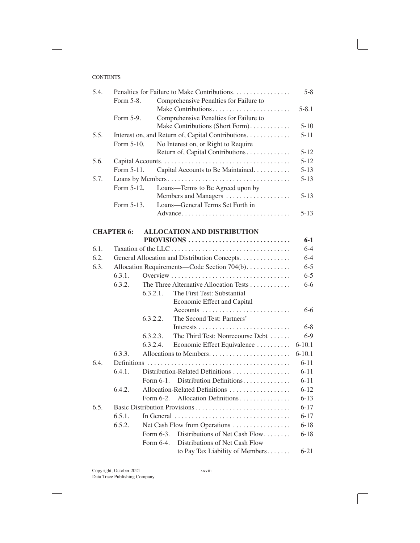| 5.4. | Penalties for Failure to Make Contributions. |           |                                                    |            |
|------|----------------------------------------------|-----------|----------------------------------------------------|------------|
|      | Form 5-8.                                    |           | Comprehensive Penalties for Failure to             |            |
|      |                                              |           | Make Contributions                                 | $5 - 8.1$  |
|      | Form 5-9.                                    |           | Comprehensive Penalties for Failure to             |            |
|      |                                              |           | Make Contributions (Short Form).                   | $5-10$     |
| 5.5. |                                              |           | Interest on, and Return of, Capital Contributions. | $5 - 11$   |
|      | Form 5-10.                                   |           | No Interest on, or Right to Require                |            |
|      |                                              |           | Return of, Capital Contributions                   | $5 - 12$   |
| 5.6. |                                              |           |                                                    | $5 - 12$   |
|      | Form 5-11.                                   |           | Capital Accounts to Be Maintained                  | $5 - 13$   |
| 5.7. |                                              |           |                                                    | $5 - 13$   |
|      | Form 5-12.                                   |           | Loans-Terms to Be Agreed upon by                   |            |
|      |                                              |           | Members and Managers                               | $5 - 13$   |
|      | Form 5-13.                                   |           | Loans-General Terms Set Forth in                   |            |
|      |                                              |           | Advance                                            | $5 - 13$   |
|      | <b>CHAPTER 6:</b>                            |           | <b>ALLOCATION AND DISTRIBUTION</b>                 |            |
|      |                                              |           | PROVISIONS                                         | $6 - 1$    |
| 6.1. |                                              |           |                                                    | $6-4$      |
| 6.2. |                                              |           | General Allocation and Distribution Concepts       | $6 - 4$    |
| 6.3. | Allocation Requirements—Code Section 704(b)  |           |                                                    | $6 - 5$    |
|      | 6.3.1.                                       |           |                                                    | $6 - 5$    |
|      | 6.3.2.                                       |           | The Three Alternative Allocation Tests             | $6-6$      |
|      |                                              | 6.3.2.1.  | The First Test: Substantial                        |            |
|      |                                              |           | Economic Effect and Capital                        |            |
|      |                                              |           |                                                    | $6-6$      |
|      |                                              | 6.3.2.2.  | The Second Test: Partners'                         |            |
|      |                                              |           |                                                    | $6 - 8$    |
|      |                                              | 6.3.2.3.  | The Third Test: Nonrecourse Debt                   | $6-9$      |
|      |                                              | 6.3.2.4.  | Economic Effect Equivalence                        | $6 - 10.1$ |
|      | 6.3.3.                                       |           |                                                    | $6 - 10.1$ |
| 6.4. |                                              |           |                                                    | $6 - 11$   |
|      | 6.4.1.                                       |           | Distribution-Related Definitions                   | $6 - 11$   |
|      |                                              | Form 6-1. | Distribution Definitions                           | $6 - 11$   |
|      | 6.4.2.                                       |           | Allocation-Related Definitions                     | $6 - 12$   |
|      |                                              | Form 6-2. | Allocation Definitions                             | $6 - 13$   |
| 6.5. |                                              |           | Basic Distribution Provisions                      | $6 - 17$   |
|      | 6.5.1.                                       |           | In General                                         | $6 - 17$   |
|      | 6.5.2.                                       |           | Net Cash Flow from Operations                      | $6 - 18$   |
|      |                                              | Form 6-3. | Distributions of Net Cash Flow                     | $6 - 18$   |
|      |                                              | Form 6-4. | Distributions of Net Cash Flow                     |            |
|      |                                              |           | to Pay Tax Liability of Members                    | $6 - 21$   |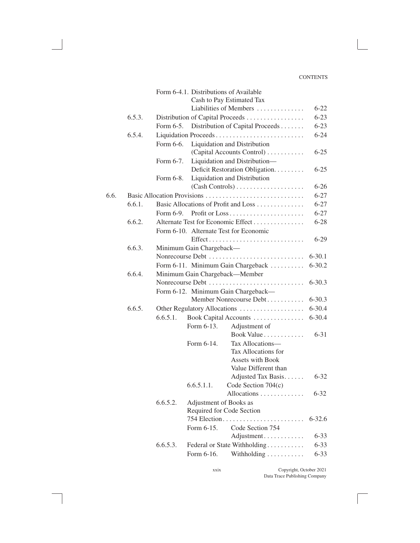|      |        |                                    |                          | Form 6-4.1. Distributions of Available     |                          |  |
|------|--------|------------------------------------|--------------------------|--------------------------------------------|--------------------------|--|
|      |        |                                    |                          | Cash to Pay Estimated Tax                  |                          |  |
|      |        |                                    |                          | Liabilities of Members                     | $6 - 22$                 |  |
|      | 6.5.3. |                                    |                          | Distribution of Capital Proceeds           | $6 - 23$                 |  |
|      |        |                                    |                          | Form 6-5. Distribution of Capital Proceeds | $6 - 23$                 |  |
|      | 6.5.4. |                                    |                          | Liquidation Proceeds                       | $6 - 24$                 |  |
|      |        | Form 6-6.                          |                          | Liquidation and Distribution               |                          |  |
|      |        |                                    |                          | (Capital Accounts Control)                 | $6 - 25$                 |  |
|      |        | Form 6-7.                          |                          | Liquidation and Distribution-              |                          |  |
|      |        |                                    |                          | Deficit Restoration Obligation.            | $6 - 25$                 |  |
|      |        | Form 6-8.                          |                          | Liquidation and Distribution               |                          |  |
|      |        |                                    |                          |                                            | $6 - 26$                 |  |
| 6.6. |        |                                    |                          |                                            | $6 - 27$                 |  |
|      | 6.6.1. |                                    |                          | Basic Allocations of Profit and Loss       | $6 - 27$                 |  |
|      |        | Form 6-9.                          |                          |                                            | $6 - 27$                 |  |
|      | 6.6.2. |                                    |                          | Alternate Test for Economic Effect         | $6 - 28$                 |  |
|      |        |                                    |                          | Form 6-10. Alternate Test for Economic     |                          |  |
|      |        |                                    |                          | Effect                                     | $6 - 29$                 |  |
|      | 6.6.3. |                                    | Minimum Gain Chargeback- |                                            |                          |  |
|      |        |                                    |                          | Nonrecourse Debt                           | $6 - 30.1$<br>$6 - 30.2$ |  |
|      |        | Form 6-11. Minimum Gain Chargeback |                          |                                            |                          |  |
|      | 6.6.4. | Minimum Gain Chargeback-Member     |                          |                                            |                          |  |
|      |        |                                    |                          | Nonrecourse Debt                           | $6 - 30.3$               |  |
|      |        |                                    |                          | Form 6-12. Minimum Gain Chargeback-        |                          |  |
|      |        |                                    |                          | Member Nonrecourse Debt                    | $6 - 30.3$               |  |
|      | 6.6.5. |                                    |                          | Other Regulatory Allocations               | $6 - 30.4$               |  |
|      |        | 6.6.5.1.                           |                          | Book Capital Accounts                      | $6 - 30.4$               |  |
|      |        |                                    | Form 6-13.               | Adjustment of                              |                          |  |
|      |        |                                    |                          | Book Value                                 | $6 - 31$                 |  |
|      |        |                                    | Form 6-14.               | Tax Allocations-                           |                          |  |
|      |        |                                    |                          | Tax Allocations for                        |                          |  |
|      |        |                                    |                          | Assets with Book                           |                          |  |
|      |        |                                    |                          | Value Different than                       |                          |  |
|      |        |                                    |                          | Adjusted Tax Basis                         | $6 - 32$                 |  |
|      |        |                                    | 6.6.5.1.1.               | Code Section 704(c)                        |                          |  |
|      |        | 6.6.5.2.                           | Adjustment of Books as   | Allocations                                | $6 - 32$                 |  |
|      |        |                                    |                          | Required for Code Section                  |                          |  |
|      |        |                                    |                          | 754 Election                               | $6 - 32.6$               |  |
|      |        |                                    | Form 6-15.               | Code Section 754                           |                          |  |
|      |        |                                    |                          | Adjustment                                 | $6 - 33$                 |  |
|      |        | 6.6.5.3.                           |                          | Federal or State Withholding               | $6 - 33$                 |  |
|      |        |                                    | Form 6-16.               | Withholding                                | $6 - 33$                 |  |
|      |        |                                    |                          |                                            |                          |  |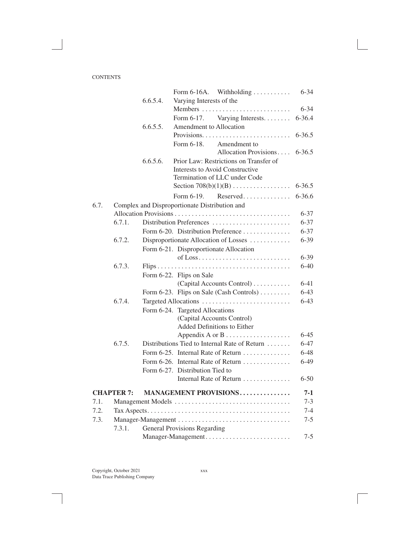|      |                   |          | With holding $\ldots \ldots \ldots$<br>Form 6-16A. | $6 - 34$   |
|------|-------------------|----------|----------------------------------------------------|------------|
|      |                   | 6.6.5.4  | Varying Interests of the                           |            |
|      |                   |          |                                                    | $6 - 34$   |
|      |                   |          | Varying Interests.<br>Form 6-17.                   | 6-36.4     |
|      |                   | 6.6.5.5. | Amendment to Allocation                            |            |
|      |                   |          |                                                    | $6 - 36.5$ |
|      |                   |          | Form 6-18.<br>Amendment to                         |            |
|      |                   |          | Allocation Provisions                              | $6 - 36.5$ |
|      |                   | 6.6.5.6. | Prior Law: Restrictions on Transfer of             |            |
|      |                   |          | <b>Interests to Avoid Constructive</b>             |            |
|      |                   |          | Termination of LLC under Code                      |            |
|      |                   |          | Section $708(b)(1)(B)$                             | $6 - 36.5$ |
|      |                   |          | Reserved<br>Form 6-19.                             | $6 - 36.6$ |
| 6.7. |                   |          | Complex and Disproportionate Distribution and      |            |
|      |                   |          |                                                    | $6 - 37$   |
|      | 6.7.1.            |          | Distribution Preferences                           | $6 - 37$   |
|      |                   |          | Form 6-20. Distribution Preference                 | $6 - 37$   |
|      | 6.7.2.            |          | Disproportionate Allocation of Losses              | $6 - 39$   |
|      |                   |          | Form 6-21. Disproportionate Allocation             |            |
|      |                   |          |                                                    | $6 - 39$   |
|      | 6.7.3.            |          |                                                    | $6-40$     |
|      |                   |          | Form 6-22. Flips on Sale                           |            |
|      |                   |          | (Capital Accounts Control)                         | $6 - 41$   |
|      |                   |          | Form 6-23. Flips on Sale (Cash Controls)           | $6 - 43$   |
|      | 6.7.4.            |          | Targeted Allocations                               | $6 - 43$   |
|      |                   |          | Form 6-24. Targeted Allocations                    |            |
|      |                   |          | (Capital Accounts Control)                         |            |
|      |                   |          | Added Definitions to Either                        |            |
|      |                   |          |                                                    | $6 - 45$   |
|      | 6.7.5.            |          | Distributions Tied to Internal Rate of Return      | $6 - 47$   |
|      |                   |          | Form 6-25. Internal Rate of Return                 | $6 - 48$   |
|      |                   |          | Form 6-26. Internal Rate of Return                 | $6-49$     |
|      |                   |          | Form 6-27. Distribution Tied to                    |            |
|      |                   |          | Internal Rate of Return                            | $6 - 50$   |
|      | <b>CHAPTER 7:</b> |          | MANAGEMENT PROVISIONS                              | 7-1        |
| 7.1. |                   |          |                                                    | $7 - 3$    |
| 7.2. |                   |          |                                                    | $7 - 4$    |
| 7.3. |                   |          | Manager-Management                                 | $7 - 5$    |
|      | 7.3.1.            |          | <b>General Provisions Regarding</b>                |            |
|      |                   |          | Manager-Management                                 | $7 - 5$    |
|      |                   |          |                                                    |            |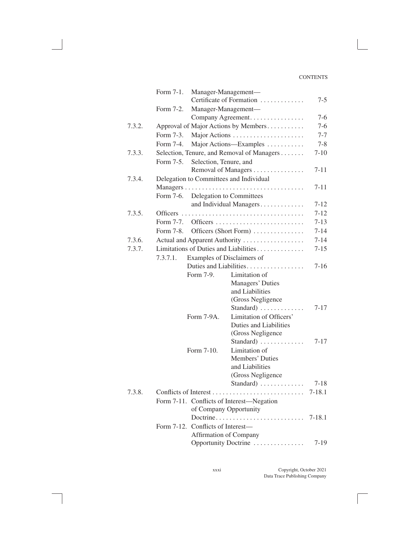|        | Form 7-1.                                 | Manager-Management-                        |                        |
|--------|-------------------------------------------|--------------------------------------------|------------------------|
|        |                                           | Certificate of Formation                   | $7 - 5$                |
|        | Form 7-2.                                 | Manager-Management-                        |                        |
|        |                                           | Company Agreement.                         | $7-6$                  |
| 7.3.2. |                                           | Approval of Major Actions by Members       | $7-6$                  |
|        | Form 7-3.                                 | Major Actions                              | $7 - 7$                |
|        | Form 7-4.                                 | Major Actions—Examples                     | $7 - 8$                |
| 7.3.3. |                                           | Selection, Tenure, and Removal of Managers | $7 - 10$               |
|        | Selection, Tenure, and<br>Form 7-5.       |                                            |                        |
|        |                                           | Removal of Managers                        | $7 - 11$               |
| 7.3.4. | Delegation to Committees and Individual   |                                            |                        |
|        |                                           |                                            | $7 - 11$               |
|        | Form 7-6.                                 | Delegation to Committees                   |                        |
|        |                                           | and Individual Managers                    | $7 - 12$               |
| 7.3.5. | <b>Officers</b>                           |                                            | $7 - 12$               |
|        | Form 7-7.                                 | Officers                                   | $7 - 13$               |
|        | Form 7-8.                                 | Officers (Short Form)                      | $7 - 14$               |
| 7.3.6. |                                           | Actual and Apparent Authority              | $7 - 14$               |
| 7.3.7. |                                           | Limitations of Duties and Liabilities      | $7 - 15$               |
|        | 7.3.7.1.                                  | Examples of Disclaimers of                 |                        |
|        |                                           | Duties and Liabilities.                    | $7 - 16$               |
|        | Form 7-9.                                 | Limitation of                              |                        |
|        |                                           | Managers' Duties                           |                        |
|        |                                           | and Liabilities                            |                        |
|        |                                           | (Gross Negligence                          |                        |
|        |                                           | Standard)                                  | $7 - 17$               |
|        | Form 7-9A.                                | Limitation of Officers'                    |                        |
|        |                                           | Duties and Liabilities                     |                        |
|        |                                           | (Gross Negligence                          |                        |
|        |                                           | Standard)                                  | $7 - 17$               |
|        | Form 7-10.                                | Limitation of                              |                        |
|        |                                           | Members' Duties                            |                        |
|        |                                           | and Liabilities                            |                        |
|        |                                           | (Gross Negligence<br>Standard)             |                        |
| 7.3.8. |                                           |                                            | $7 - 18$<br>$7 - 18.1$ |
|        |                                           |                                            |                        |
|        | Form 7-11. Conflicts of Interest—Negation | of Company Opportunity                     |                        |
|        |                                           | Doctrine                                   | $7 - 18.1$             |
|        | Form 7-12. Conflicts of Interest—         |                                            |                        |
|        |                                           | Affirmation of Company                     |                        |
|        |                                           | Opportunity Doctrine                       | 7-19                   |
|        |                                           |                                            |                        |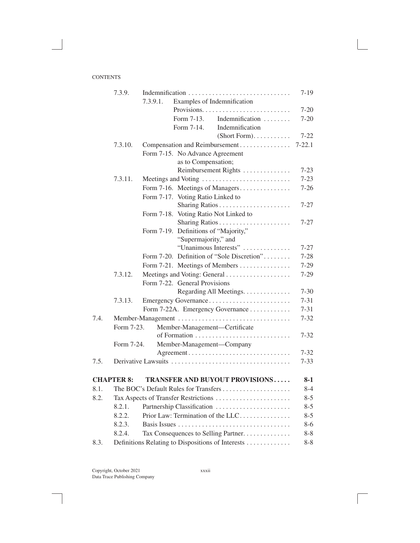|      | 7.3.9.            | Indemnification                                   | $7 - 19$   |
|------|-------------------|---------------------------------------------------|------------|
|      |                   | Examples of Indemnification<br>7.3.9.1.           |            |
|      |                   |                                                   | $7-20$     |
|      |                   | Indemnification<br>Form 7-13.                     | $7 - 20$   |
|      |                   | Form 7-14.<br>Indemnification                     |            |
|      |                   | (Short Form).                                     | $7 - 22$   |
|      | 7.3.10.           | Compensation and Reimbursement                    | $7 - 22.1$ |
|      |                   | Form 7-15. No Advance Agreement                   |            |
|      |                   | as to Compensation;                               |            |
|      |                   | Reimbursement Rights                              | $7 - 23$   |
|      | 7.3.11.           | Meetings and Voting                               | $7 - 23$   |
|      |                   | Form 7-16. Meetings of Managers                   | $7 - 26$   |
|      |                   | Form 7-17. Voting Ratio Linked to                 |            |
|      |                   |                                                   | $7 - 27$   |
|      |                   | Form 7-18. Voting Ratio Not Linked to             |            |
|      |                   |                                                   | $7 - 27$   |
|      |                   | Form 7-19. Definitions of "Majority,"             |            |
|      |                   | "Supermajority," and                              |            |
|      |                   | "Unanimous Interests"                             | $7 - 27$   |
|      |                   | Form 7-20. Definition of "Sole Discretion"        | $7 - 28$   |
|      |                   | Form 7-21. Meetings of Members                    | $7-29$     |
|      | 7.3.12.           | Meetings and Voting: General                      | $7 - 29$   |
|      |                   | Form 7-22. General Provisions                     |            |
|      |                   | Regarding All Meetings.                           | $7 - 30$   |
|      | 7.3.13.           | Emergency Governance                              | $7 - 31$   |
|      |                   | Form 7-22A. Emergency Governance                  | $7 - 31$   |
| 7.4. |                   | Member-Management                                 | $7 - 32$   |
|      | Form 7-23.        | Member-Management-Certificate                     |            |
|      |                   |                                                   | $7 - 32$   |
|      | Form 7-24.        | Member-Management-Company                         |            |
|      |                   | Agreement                                         | $7 - 32$   |
| 7.5. |                   |                                                   | $7 - 33$   |
|      | <b>CHAPTER 8:</b> | <b>TRANSFER AND BUYOUT PROVISIONS</b>             | 8-1        |
| 8.1. |                   | The BOC's Default Rules for Transfers             | $8-4$      |
| 8.2. |                   | Tax Aspects of Transfer Restrictions              | $8 - 5$    |
|      | 8.2.1.            | Partnership Classification                        | $8 - 5$    |
|      | 8.2.2.            | Prior Law: Termination of the LLC                 | $8 - 5$    |
|      | 8.2.3.            |                                                   | $8 - 6$    |
|      | 8.2.4.            | Tax Consequences to Selling Partner.              | $8 - 8$    |
| 8.3. |                   | Definitions Relating to Dispositions of Interests | $8 - 8$    |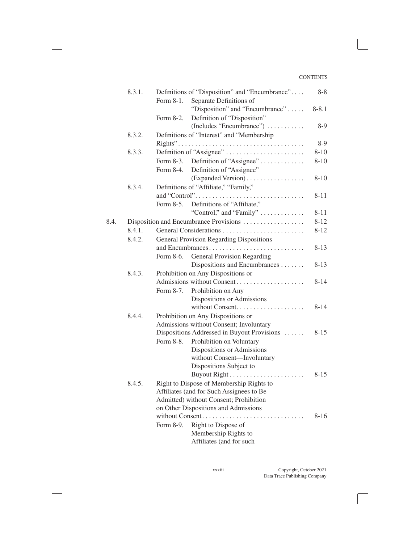|      | 8.3.1. |                                    | Definitions of "Disposition" and "Encumbrance"  | $8 - 8$   |  |  |  |
|------|--------|------------------------------------|-------------------------------------------------|-----------|--|--|--|
|      |        | Form 8-1.                          | Separate Definitions of                         |           |  |  |  |
|      |        |                                    | "Disposition" and "Encumbrance"                 | $8 - 8.1$ |  |  |  |
|      |        | Form 8-2.                          | Definition of "Disposition"                     |           |  |  |  |
|      |        |                                    | (Includes "Encumbrance")                        | $8-9$     |  |  |  |
|      | 8.3.2. |                                    | Definitions of "Interest" and "Membership       |           |  |  |  |
|      |        |                                    |                                                 | 8-9       |  |  |  |
|      | 8.3.3. |                                    | Definition of "Assignee"                        | $8 - 10$  |  |  |  |
|      |        | Form 8-3.                          | Definition of "Assignee"                        | $8 - 10$  |  |  |  |
|      |        | Form 8-4.                          | Definition of "Assignee"                        |           |  |  |  |
|      |        |                                    | (Expanded Version)                              | $8 - 10$  |  |  |  |
|      | 8.3.4. |                                    | Definitions of "Affiliate," "Family,"           |           |  |  |  |
|      |        |                                    |                                                 | $8 - 11$  |  |  |  |
|      |        |                                    | Form 8-5. Definitions of "Affiliate,"           |           |  |  |  |
|      |        |                                    | "Control," and "Family" $\dots \dots \dots$     | $8 - 11$  |  |  |  |
| 8.4. |        |                                    | Disposition and Encumbrance Provisions          | $8 - 12$  |  |  |  |
|      | 8.4.1. |                                    |                                                 | $8 - 12$  |  |  |  |
|      | 8.4.2. |                                    | <b>General Provision Regarding Dispositions</b> |           |  |  |  |
|      |        |                                    | and Encumbrances                                | $8 - 13$  |  |  |  |
|      |        | Form 8-6.                          | General Provision Regarding                     |           |  |  |  |
|      |        |                                    | Dispositions and Encumbrances                   | 8-13      |  |  |  |
|      | 8.4.3. | Prohibition on Any Dispositions or |                                                 |           |  |  |  |
|      |        |                                    | Admissions without Consent                      | $8 - 14$  |  |  |  |
|      |        | Form 8-7.                          | Prohibition on Any                              |           |  |  |  |
|      |        |                                    | Dispositions or Admissions                      |           |  |  |  |
|      |        |                                    |                                                 | $8 - 14$  |  |  |  |
|      | 8.4.4. |                                    | Prohibition on Any Dispositions or              |           |  |  |  |
|      |        |                                    | Admissions without Consent; Involuntary         |           |  |  |  |
|      |        |                                    | Dispositions Addressed in Buyout Provisions     | $8 - 15$  |  |  |  |
|      |        | Form 8-8.                          | Prohibition on Voluntary                        |           |  |  |  |
|      |        |                                    | Dispositions or Admissions                      |           |  |  |  |
|      |        |                                    | without Consent-Involuntary                     |           |  |  |  |
|      |        |                                    | Dispositions Subject to                         |           |  |  |  |
|      |        |                                    |                                                 | $8 - 15$  |  |  |  |
|      | 8.4.5. |                                    | Right to Dispose of Membership Rights to        |           |  |  |  |
|      |        |                                    | Affiliates (and for Such Assignees to Be        |           |  |  |  |
|      |        |                                    | Admitted) without Consent; Prohibition          |           |  |  |  |
|      |        |                                    | on Other Dispositions and Admissions            |           |  |  |  |
|      |        |                                    | without Consent<br>.                            | $8 - 16$  |  |  |  |
|      |        | Form 8-9.                          | Right to Dispose of                             |           |  |  |  |
|      |        |                                    | Membership Rights to                            |           |  |  |  |
|      |        |                                    | Affiliates (and for such                        |           |  |  |  |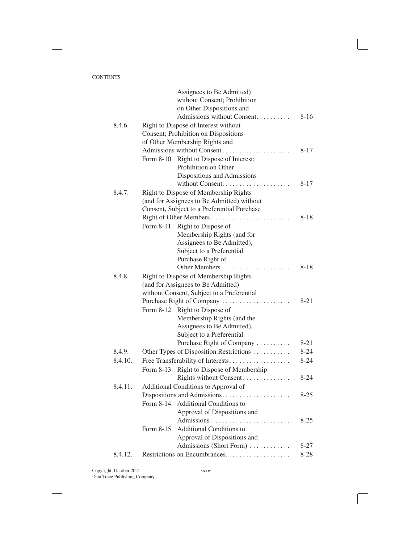|         | Assignees to Be Admitted)                   |          |
|---------|---------------------------------------------|----------|
|         | without Consent; Prohibition                |          |
|         | on Other Dispositions and                   |          |
|         | Admissions without Consent                  | $8 - 16$ |
| 8.4.6.  | Right to Dispose of Interest without        |          |
|         | Consent; Prohibition on Dispositions        |          |
|         | of Other Membership Rights and              |          |
|         | Admissions without Consent                  | $8 - 17$ |
|         | Form 8-10. Right to Dispose of Interest;    |          |
|         | Prohibition on Other                        |          |
|         | Dispositions and Admissions                 |          |
|         |                                             | $8 - 17$ |
| 8.4.7.  | Right to Dispose of Membership Rights       |          |
|         | (and for Assignees to Be Admitted) without  |          |
|         | Consent, Subject to a Preferential Purchase |          |
|         | Right of Other Members                      | $8 - 18$ |
|         | Form 8-11. Right to Dispose of              |          |
|         | Membership Rights (and for                  |          |
|         | Assignees to Be Admitted),                  |          |
|         | Subject to a Preferential                   |          |
|         | Purchase Right of                           |          |
|         | Other Members                               | $8 - 18$ |
| 8.4.8.  | Right to Dispose of Membership Rights       |          |
|         | (and for Assignees to Be Admitted)          |          |
|         | without Consent, Subject to a Preferential  |          |
|         | Purchase Right of Company                   | 8-21     |
|         | Form 8-12. Right to Dispose of              |          |
|         | Membership Rights (and the                  |          |
|         | Assignees to Be Admitted),                  |          |
|         | Subject to a Preferential                   |          |
|         | Purchase Right of Company                   | $8 - 21$ |
| 8.4.9.  | Other Types of Disposition Restrictions     | $8 - 24$ |
| 8.4.10. | Free Transferability of Interests           | $8 - 24$ |
|         | Form 8-13. Right to Dispose of Membership   |          |
|         | Rights without Consent                      | $8 - 24$ |
| 8.4.11. | Additional Conditions to Approval of        |          |
|         |                                             | $8 - 25$ |
|         | Form 8-14. Additional Conditions to         |          |
|         | Approval of Dispositions and                |          |
|         |                                             | $8 - 25$ |
|         | Form 8-15. Additional Conditions to         |          |
|         | Approval of Dispositions and                |          |
|         | Admissions (Short Form)                     | $8 - 27$ |
| 8.4.12. |                                             | $8 - 28$ |
|         |                                             |          |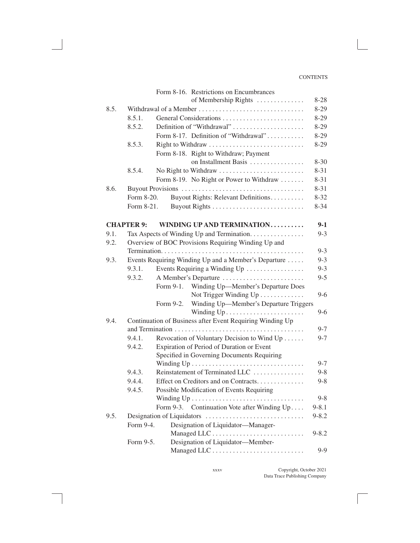|      |                   | Form 8-16. Restrictions on Encumbrances                   |           |
|------|-------------------|-----------------------------------------------------------|-----------|
|      |                   | of Membership Rights                                      | $8 - 28$  |
| 8.5. |                   | Withdrawal of a Member                                    | $8 - 29$  |
|      | 8.5.1.            |                                                           | $8 - 29$  |
|      | 8.5.2.            | Definition of "Withdrawal"                                | $8-29$    |
|      |                   | Form 8-17. Definition of "Withdrawal"                     | $8-29$    |
|      | 8.5.3.            |                                                           | $8-29$    |
|      |                   | Form 8-18. Right to Withdraw; Payment                     |           |
|      |                   | on Installment Basis                                      | $8 - 30$  |
|      | 8.5.4.            | No Right to Withdraw                                      | $8 - 31$  |
|      |                   | Form 8-19. No Right or Power to Withdraw                  | $8 - 31$  |
| 8.6. |                   |                                                           | $8 - 31$  |
|      | Form 8-20.        | Buyout Rights: Relevant Definitions.                      | $8 - 32$  |
|      | Form 8-21.        |                                                           | $8 - 34$  |
|      | <b>CHAPTER 9:</b> | <b>WINDING UP AND TERMINATION</b>                         | $9-1$     |
| 9.1. |                   | Tax Aspects of Winding Up and Termination                 | $9 - 3$   |
| 9.2. |                   | Overview of BOC Provisions Requiring Winding Up and       |           |
|      |                   |                                                           | $9 - 3$   |
| 9.3. |                   | Events Requiring Winding Up and a Member's Departure      | $9 - 3$   |
|      | 9.3.1.            | Events Requiring a Winding Up                             | $9 - 3$   |
|      | 9.3.2.            | A Member's Departure                                      | $9 - 5$   |
|      |                   | Form 9-1. Winding Up—Member's Departure Does              |           |
|      |                   | Not Trigger Winding Up                                    | $9 - 6$   |
|      |                   | Winding Up-Member's Departure Triggers<br>Form 9-2.       |           |
|      |                   |                                                           | $9 - 6$   |
| 9.4. |                   | Continuation of Business after Event Requiring Winding Up |           |
|      |                   |                                                           | $9 - 7$   |
|      | 9.4.1.            | Revocation of Voluntary Decision to Wind Up               | $9 - 7$   |
|      | 9.4.2.            | Expiration of Period of Duration or Event                 |           |
|      |                   | Specified in Governing Documents Requiring                |           |
|      |                   |                                                           | $9 - 7$   |
|      | 9.4.3.            | Reinstatement of Terminated LLC                           | $9 - 8$   |
|      | 9.4.4.            | Effect on Creditors and on Contracts                      | $9 - 8$   |
|      | 9.4.5.            | Possible Modification of Events Requiring                 |           |
|      |                   |                                                           | $9 - 8$   |
|      |                   | Continuation Vote after Winding Up<br>Form 9-3.           | $9 - 8.1$ |
| 9.5. |                   |                                                           | $9 - 8.2$ |
|      | Form 9-4.         | Designation of Liquidator-Manager-                        |           |
|      |                   |                                                           | $9 - 8.2$ |
|      | Form 9-5.         | Designation of Liquidator-Member-                         |           |
|      |                   |                                                           | $9-9$     |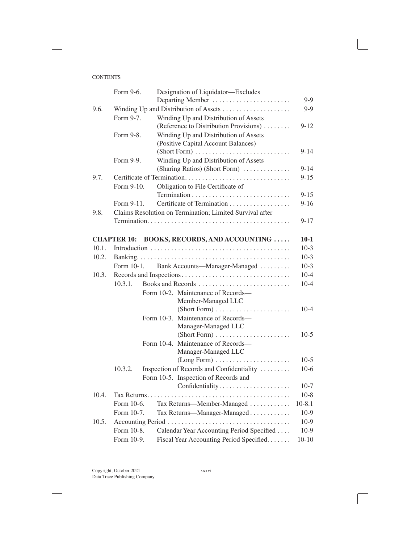| Form 9-6.<br>Designation of Liquidator-Excludes                  |            |
|------------------------------------------------------------------|------------|
| Departing Member                                                 | $9-9$      |
| Winding Up and Distribution of Assets<br>9.6.                    | $9 - 9$    |
| Form 9-7.<br>Winding Up and Distribution of Assets               |            |
| (Reference to Distribution Provisions)                           | $9 - 12$   |
| Winding Up and Distribution of Assets<br>Form 9-8.               |            |
| (Positive Capital Account Balances)                              |            |
|                                                                  | $9 - 14$   |
| Winding Up and Distribution of Assets<br>Form 9-9.               |            |
| (Sharing Ratios) (Short Form)                                    | $9 - 14$   |
| 9.7.                                                             | $9 - 15$   |
| Form 9-10.<br>Obligation to File Certificate of                  |            |
|                                                                  | $9 - 15$   |
| Certificate of Termination<br>Form 9-11.                         | $9-16$     |
| Claims Resolution on Termination; Limited Survival after<br>9.8. |            |
|                                                                  | $9 - 17$   |
|                                                                  |            |
| <b>BOOKS, RECORDS, AND ACCOUNTING</b><br><b>CHAPTER 10:</b>      | $10 - 1$   |
| 10.1.                                                            | $10-3$     |
| 10.2.                                                            | $10-3$     |
| Form 10-1.<br>Bank Accounts—Manager-Managed                      | $10-3$     |
| 10.3.                                                            | $10 - 4$   |
| Books and Records<br>10.3.1.                                     | $10 - 4$   |
| Form 10-2. Maintenance of Records-                               |            |
| Member-Managed LLC                                               |            |
|                                                                  | $10 - 4$   |
| Form 10-3. Maintenance of Records-                               |            |
| Manager-Managed LLC                                              |            |
|                                                                  | $10-5$     |
| Form 10-4. Maintenance of Records—                               |            |
| Manager-Managed LLC                                              |            |
| (Long Form)                                                      | $10-5$     |
| 10.3.2.<br>Inspection of Records and Confidentiality             | $10-6$     |
| Form 10-5. Inspection of Records and                             |            |
| Confidentiality                                                  | $10-7$     |
| 10.4.                                                            | $10-8$     |
| Form 10-6.<br>Tax Returns-Member-Managed                         | $10 - 8.1$ |
| Form 10-7.<br>Tax Returns-Manager-Managed                        | $10-9$     |
| 10.5.                                                            | $10-9$     |
| Form 10-8.<br>Calendar Year Accounting Period Specified          |            |
|                                                                  | $10-9$     |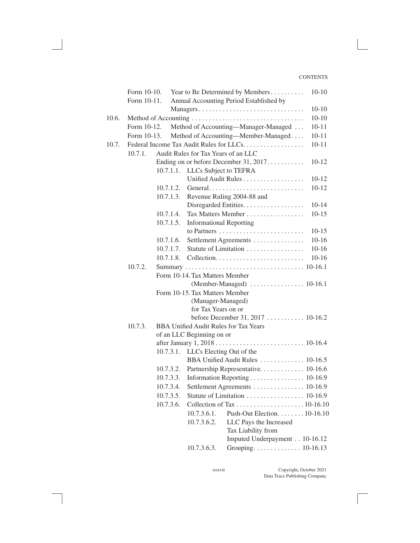|       | Form 10-10. |           |                                     | Year to Be Determined by Members             | $10-10$   |
|-------|-------------|-----------|-------------------------------------|----------------------------------------------|-----------|
|       | Form 10-11. |           |                                     | Annual Accounting Period Established by      |           |
|       |             |           |                                     | Managers                                     | $10-10$   |
| 10.6. |             |           |                                     |                                              | $10 - 10$ |
|       | Form 10-12. |           |                                     | Method of Accounting—Manager-Managed         | $10 - 11$ |
|       | Form 10-13. |           |                                     | Method of Accounting—Member-Managed          | $10 - 11$ |
| 10.7. |             |           |                                     | Federal Income Tax Audit Rules for LLCs.     | $10 - 11$ |
|       | 10.7.1.     |           | Audit Rules for Tax Years of an LLC |                                              |           |
|       |             |           |                                     | Ending on or before December 31, 2017.       | $10 - 12$ |
|       |             | 10.7.1.1. | LLCs Subject to TEFRA               |                                              |           |
|       |             |           |                                     | Unified Audit Rules                          | $10-12$   |
|       |             | 10.7.1.2. |                                     |                                              | $10 - 12$ |
|       |             | 10.7.1.3. |                                     | Revenue Ruling 2004-88 and                   |           |
|       |             |           |                                     | Disregarded Entities.                        | $10-14$   |
|       |             | 10.7.1.4. |                                     | Tax Matters Member                           | $10 - 15$ |
|       |             | 10.7.1.5. | <b>Informational Reporting</b>      |                                              |           |
|       |             |           |                                     |                                              | $10-15$   |
|       |             | 10.7.1.6. |                                     | Settlement Agreements                        | $10 - 16$ |
|       |             | 10.7.1.7. |                                     | Statute of Limitation                        | $10 - 16$ |
|       |             | 10.7.1.8. |                                     |                                              | $10 - 16$ |
|       | 10.7.2.     |           |                                     |                                              |           |
|       |             |           | Form 10-14. Tax Matters Member      |                                              |           |
|       |             |           |                                     |                                              |           |
|       |             |           | Form 10-15. Tax Matters Member      |                                              |           |
|       |             |           | (Manager-Managed)                   |                                              |           |
|       |             |           | for Tax Years on or                 | before December 31, 2017  10-16.2            |           |
|       | 10.7.3.     |           |                                     | <b>BBA Unified Audit Rules for Tax Years</b> |           |
|       |             |           | of an LLC Beginning on or           |                                              |           |
|       |             |           |                                     |                                              |           |
|       |             | 10.7.3.1. | LLCs Electing Out of the            |                                              |           |
|       |             |           |                                     | BBA Unified Audit Rules  10-16.5             |           |
|       |             | 10.7.3.2. |                                     |                                              |           |
|       |             | 10.7.3.3. |                                     | Information Reporting 10-16.9                |           |
|       |             | 10.7.3.4. |                                     | Settlement Agreements 10-16.9                |           |
|       |             | 10.7.3.5. |                                     | Statute of Limitation 10-16.9                |           |
|       |             | 10.7.3.6. |                                     |                                              |           |
|       |             |           | 10.7.3.6.1.                         | Push-Out Election. 10-16.10                  |           |
|       |             |           | 10.7.3.6.2.                         | LLC Pays the Increased                       |           |
|       |             |           |                                     | Tax Liability from                           |           |
|       |             |           |                                     | Imputed Underpayment 10-16.12                |           |
|       |             |           | 10.7.3.6.3.                         |                                              |           |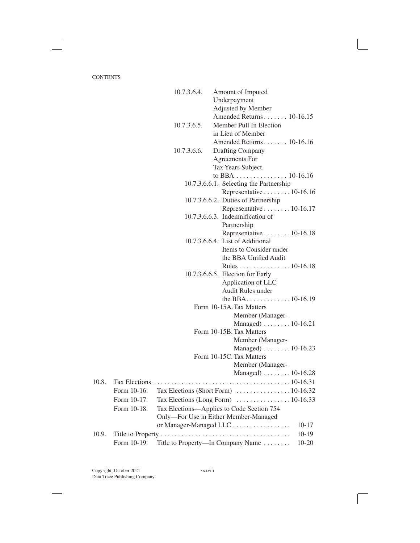|       |             | 10.7.3.6.4. | Amount of Imputed                                           |
|-------|-------------|-------------|-------------------------------------------------------------|
|       |             |             | Underpayment                                                |
|       |             |             | Adjusted by Member                                          |
|       |             |             | Amended Returns 10-16.15                                    |
|       |             | 10.7.3.6.5. | Member Pull In Election                                     |
|       |             |             | in Lieu of Member                                           |
|       |             |             | Amended Returns 10-16.16                                    |
|       |             | 10.7.3.6.6. | <b>Drafting Company</b>                                     |
|       |             |             | Agreements For                                              |
|       |             |             | Tax Years Subject                                           |
|       |             |             | to BBA 10-16.16                                             |
|       |             |             | 10.7.3.6.6.1. Selecting the Partnership                     |
|       |             |             | Representative 10-16.16                                     |
|       |             |             | 10.7.3.6.6.2. Duties of Partnership                         |
|       |             |             | Representative 10-16.17                                     |
|       |             |             | $10.7.3.6.6.3$ . Indemnification of                         |
|       |             |             | Partnership                                                 |
|       |             |             | Representative 10-16.18<br>10.7.3.6.6.4. List of Additional |
|       |             |             | Items to Consider under                                     |
|       |             |             | the BBA Unified Audit                                       |
|       |             |             | Rules 10-16.18                                              |
|       |             |             | 10.7.3.6.6.5. Election for Early                            |
|       |             |             | Application of LLC                                          |
|       |             |             | Audit Rules under                                           |
|       |             |             | the BBA10-16.19                                             |
|       |             |             | Form 10-15A. Tax Matters                                    |
|       |             |             | Member (Manager-                                            |
|       |             |             | Managed) $\ldots \ldots \ldots 10$ -16.21                   |
|       |             |             | Form 10-15B. Tax Matters                                    |
|       |             |             | Member (Manager-                                            |
|       |             |             | Managed) $\ldots \ldots \ldots 10$ -16.23                   |
|       |             |             | Form 10-15C. Tax Matters                                    |
|       |             |             | Member (Manager-                                            |
|       |             |             | Managed) $\ldots \ldots \ldots 10$ -16.28                   |
| 10.8. |             |             |                                                             |
|       |             |             |                                                             |
|       | Form 10-17. |             | Tax Elections (Long Form) 10-16.33                          |
|       | Form 10-18. |             | Tax Elections—Applies to Code Section 754                   |
|       |             |             | Only-For Use in Either Member-Managed                       |
|       |             |             | or Manager-Managed LLC<br>$10-17$                           |
| 10.9. |             |             | $10-19$                                                     |
|       | Form 10-19. |             | Title to Property—In Company Name<br>$10 - 20$              |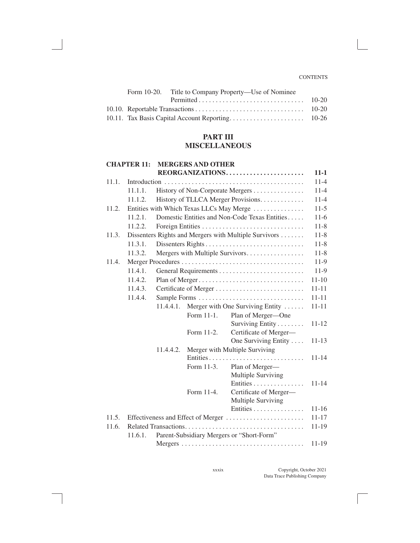|  | Form 10-20. Title to Company Property—Use of Nominee |  |
|--|------------------------------------------------------|--|
|  |                                                      |  |
|  |                                                      |  |
|  |                                                      |  |

### **PART III MISCELLANEOUS**

#### **CHAPTER 11: MERGERS AND OTHER REORGANIZATIONS . . . . . . . . . . . . . . . . . . . . . . . 11-1**

| 11.1. |         |           |            |                                                       | $11 - 4$  |
|-------|---------|-----------|------------|-------------------------------------------------------|-----------|
|       | 11.1.1. |           |            | History of Non-Corporate Mergers                      | $11-4$    |
|       | 11.1.2. |           |            | History of TLLCA Merger Provisions.                   | $11-4$    |
| 11.2. |         |           |            | Entities with Which Texas LLCs May Merge              | $11-5$    |
|       | 11.2.1. |           |            | Domestic Entities and Non-Code Texas Entities         | $11-6$    |
|       | 11.2.2. |           |            |                                                       | $11 - 8$  |
| 11.3. |         |           |            | Dissenters Rights and Mergers with Multiple Survivors | $11-8$    |
|       | 11.3.1. |           |            | Dissenters Rights                                     | $11 - 8$  |
|       | 11.3.2. |           |            | Mergers with Multiple Survivors                       | $11-8$    |
| 11.4. |         |           |            |                                                       | $11-9$    |
|       | 11.4.1. |           |            |                                                       | $11-9$    |
|       | 11.4.2. |           |            | Plan of Merger                                        | $11 - 10$ |
|       | 11.4.3. |           |            |                                                       | $11 - 11$ |
|       | 11.4.4. |           |            |                                                       | $11 - 11$ |
|       |         | 11.4.4.1. |            | Merger with One Surviving Entity                      | $11 - 11$ |
|       |         |           | Form 11-1. | Plan of Merger-One                                    |           |
|       |         |           |            | Surviving Entity                                      | $11 - 12$ |
|       |         |           | Form 11-2. | Certificate of Merger-                                |           |
|       |         |           |            | One Surviving Entity                                  | $11 - 13$ |
|       |         | 11.4.4.2. |            | Merger with Multiple Surviving                        |           |
|       |         |           |            | Entities                                              | $11 - 14$ |
|       |         |           | Form 11-3. | Plan of Merger-                                       |           |
|       |         |           |            | Multiple Surviving                                    |           |
|       |         |           |            | Entities                                              | $11 - 14$ |
|       |         |           | Form 11-4. | Certificate of Merger-<br>Multiple Surviving          |           |
|       |         |           |            | Entities                                              | $11 - 16$ |
| 11.5. |         |           |            | Effectiveness and Effect of Merger                    | $11 - 17$ |
| 11.6. |         |           |            |                                                       | $11 - 19$ |
|       | 11.6.1. |           |            | Parent-Subsidiary Mergers or "Short-Form"             |           |
|       |         |           |            |                                                       | $11 - 19$ |
|       |         |           |            |                                                       |           |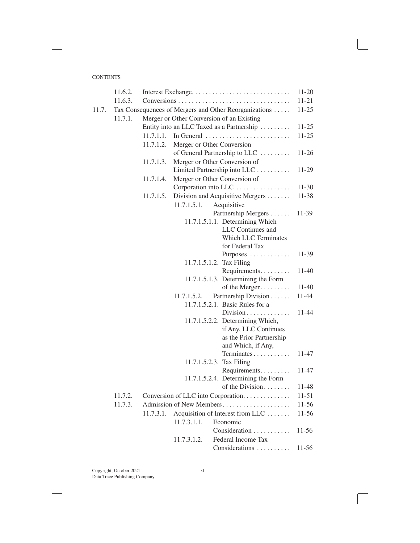|       | 11.6.2. |           |             |                                                       | $11 - 20$ |
|-------|---------|-----------|-------------|-------------------------------------------------------|-----------|
|       | 11.6.3. |           |             |                                                       | $11 - 21$ |
| 11.7. |         |           |             | Tax Consequences of Mergers and Other Reorganizations | $11 - 25$ |
|       | 11.7.1. |           |             | Merger or Other Conversion of an Existing             |           |
|       |         |           |             | Entity into an LLC Taxed as a Partnership             | $11 - 25$ |
|       |         | 11.7.1.1. |             | In General                                            | $11 - 25$ |
|       |         | 11.7.1.2. |             | Merger or Other Conversion                            |           |
|       |         |           |             | of General Partnership to LLC                         | $11-26$   |
|       |         | 11.7.1.3. |             | Merger or Other Conversion of                         |           |
|       |         |           |             | Limited Partnership into LLC                          | 11-29     |
|       |         | 11.7.1.4. |             | Merger or Other Conversion of                         |           |
|       |         |           |             | Corporation into LLC                                  | $11-30$   |
|       |         | 11.7.1.5. |             | Division and Acquisitive Mergers                      | 11-38     |
|       |         |           | 11.7.1.5.1. | Acquisitive                                           |           |
|       |         |           |             | Partnership Mergers                                   | 11-39     |
|       |         |           |             | 11.7.1.5.1.1. Determining Which                       |           |
|       |         |           |             | LLC Continues and                                     |           |
|       |         |           |             | <b>Which LLC Terminates</b><br>for Federal Tax        |           |
|       |         |           |             | Purposes                                              | 11-39     |
|       |         |           |             | 11.7.1.5.1.2. Tax Filing                              |           |
|       |         |           |             | Requirements                                          | 11-40     |
|       |         |           |             | 11.7.1.5.1.3. Determining the Form                    |           |
|       |         |           |             | of the Merger                                         | 11-40     |
|       |         |           | 11.7.1.5.2. | Partnership Division                                  | 11-44     |
|       |         |           |             | 11.7.1.5.2.1. Basic Rules for a                       |           |
|       |         |           |             | Division                                              | 11-44     |
|       |         |           |             | 11.7.1.5.2.2. Determining Which,                      |           |
|       |         |           |             | if Any, LLC Continues                                 |           |
|       |         |           |             | as the Prior Partnership                              |           |
|       |         |           |             | and Which, if Any,                                    |           |
|       |         |           |             | Terminates                                            | 11-47     |
|       |         |           |             | 11.7.1.5.2.3. Tax Filing                              |           |
|       |         |           |             | Requirements<br>11.7.1.5.2.4. Determining the Form    | 11-47     |
|       |         |           |             | of the Division                                       | 11-48     |
|       |         |           |             | 11.7.2. Conversion of LLC into Corporation            | $11 - 51$ |
|       | 11.7.3. |           |             | Admission of New Members                              | 11-56     |
|       |         | 11.7.3.1. |             | Acquisition of Interest from LLC                      | $11-56$   |
|       |         |           | 11.7.3.1.1. | Economic                                              |           |
|       |         |           |             | Consideration                                         | $11-56$   |
|       |         |           | 11.7.3.1.2. | Federal Income Tax                                    |           |
|       |         |           |             | Considerations                                        | $11 - 56$ |
|       |         |           |             |                                                       |           |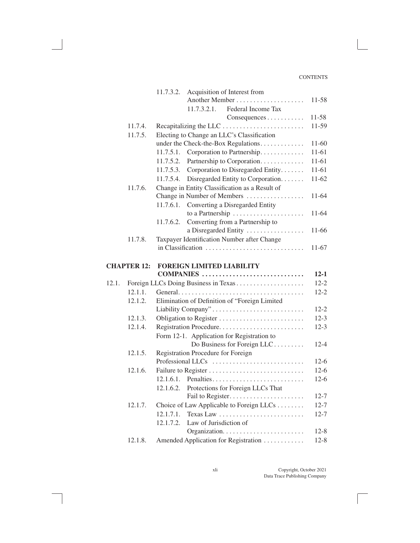|       |                    | 11.7.3.2.<br>Acquisition of Interest from                                   |           |
|-------|--------------------|-----------------------------------------------------------------------------|-----------|
|       |                    |                                                                             | 11-58     |
|       |                    | Federal Income Tax<br>11.7.3.2.1.                                           |           |
|       |                    | Consequences                                                                | $11 - 58$ |
|       | 11.7.4.            |                                                                             | 11-59     |
|       | 11.7.5.            | Electing to Change an LLC's Classification                                  |           |
|       |                    | under the Check-the-Box Regulations                                         | 11-60     |
|       |                    | Corporation to Partnership.<br>11.7.5.1.                                    | 11-61     |
|       |                    | 11.7.5.2.<br>Partnership to Corporation.                                    | 11-61     |
|       |                    | Corporation to Disregarded Entity<br>11.7.5.3.                              | $11-61$   |
|       |                    | 11.7.5.4.<br>Disregarded Entity to Corporation.                             | $11-62$   |
|       | 11.7.6.            | Change in Entity Classification as a Result of                              |           |
|       |                    | Change in Number of Members                                                 | 11-64     |
|       |                    | Converting a Disregarded Entity<br>11.7.6.1.                                |           |
|       |                    |                                                                             | 11-64     |
|       |                    | Converting from a Partnership to<br>11.7.6.2.                               |           |
|       |                    | a Disregarded Entity                                                        | 11-66     |
|       | 11.7.8.            | Taxpayer Identification Number after Change                                 |           |
|       |                    | in Classification                                                           | 11-67     |
|       |                    |                                                                             |           |
|       | <b>CHAPTER 12:</b> | <b>FOREIGN LIMITED LIABILITY</b>                                            |           |
|       |                    | COMPANIES                                                                   | $12 - 1$  |
| 12.1. |                    |                                                                             | $12 - 2$  |
|       | 12.1.1.            |                                                                             | $12 - 2$  |
|       | 12.1.2.            | Elimination of Definition of "Foreign Limited                               |           |
|       |                    | Liability Company"                                                          | $12 - 2$  |
|       | 12.1.3.            |                                                                             | $12 - 3$  |
|       | 12.1.4.            | Registration Procedure                                                      | $12-3$    |
|       |                    | Form 12-1. Application for Registration to                                  |           |
|       |                    | Do Business for Foreign LLC                                                 | $12 - 4$  |
|       | 12.1.5.            | Registration Procedure for Foreign<br>Professional LLCs                     | $12-6$    |
|       |                    |                                                                             | $12-6$    |
|       | 12.1.6.            | Failure to Register                                                         |           |
|       |                    | Penalties<br>12.1.6.1.                                                      | $12-6$    |
|       |                    | 12.1.6.2.<br>Protections for Foreign LLCs That                              | $12 - 7$  |
|       |                    |                                                                             | $12 - 7$  |
|       | 12.1.7.            | Choice of Law Applicable to Foreign LLCs                                    | $12 - 7$  |
|       |                    | 12.1.7.1.<br>Texas Law $\dots\dots\dots\dots\dots\dots\dots\dots\dots\dots$ |           |
|       |                    | 12.1.7.2.<br>Law of Jurisdiction of                                         | $12 - 8$  |
|       |                    |                                                                             |           |
|       | 12.1.8.            | Amended Application for Registration                                        | $12 - 8$  |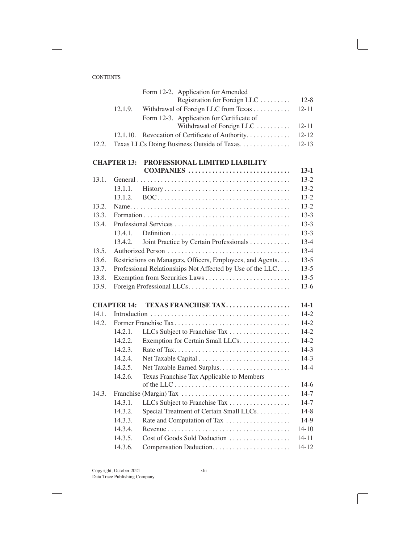|       |                    | Form 12-2. Application for Amended                        |           |
|-------|--------------------|-----------------------------------------------------------|-----------|
|       |                    | Registration for Foreign LLC                              | $12 - 8$  |
|       | 12.1.9.            | Withdrawal of Foreign LLC from Texas                      | $12 - 11$ |
|       |                    | Form 12-3. Application for Certificate of                 |           |
|       |                    | Withdrawal of Foreign LLC                                 | $12 - 11$ |
|       | 12.1.10.           | Revocation of Certificate of Authority                    | $12 - 12$ |
| 12.2. |                    | Texas LLCs Doing Business Outside of Texas                | $12 - 13$ |
|       | <b>CHAPTER 13:</b> | PROFESSIONAL LIMITED LIABILITY                            |           |
|       |                    | COMPANIES                                                 | $13-1$    |
| 13.1. |                    |                                                           | $13 - 2$  |
|       | 13.1.1.            |                                                           | $13 - 2$  |
|       | 13.1.2.            |                                                           | $13 - 2$  |
| 13.2. |                    |                                                           | $13 - 2$  |
| 13.3. |                    |                                                           | $13-3$    |
| 13.4. |                    |                                                           | $13-3$    |
|       | 13.4.1.            |                                                           | $13-3$    |
|       | 13.4.2.            | Joint Practice by Certain Professionals                   | $13 - 4$  |
| 13.5. |                    |                                                           | $13 - 4$  |
| 13.6. |                    | Restrictions on Managers, Officers, Employees, and Agents | $13-5$    |
| 13.7. |                    | Professional Relationships Not Affected by Use of the LLC | $13 - 5$  |
| 13.8. |                    |                                                           | $13-5$    |
| 13.9. |                    |                                                           | $13-6$    |
|       | <b>CHAPTER 14:</b> | <b>TEXAS FRANCHISE TAX</b>                                | $14-1$    |
| 14.1. |                    |                                                           | $14-2$    |
| 14.2. |                    |                                                           | $14 - 2$  |
|       | 14.2.1.            | LLCs Subject to Franchise Tax                             | $14 - 2$  |
|       | 14.2.2.            | Exemption for Certain Small LLCs                          | $14 - 2$  |
|       | 14.2.3.            |                                                           | $14-3$    |
|       | 14.2.4.            |                                                           | $14-3$    |
|       | 14.2.5.            |                                                           | $14 - 4$  |
|       | 14.2.6.            | Texas Franchise Tax Applicable to Members                 |           |
|       |                    |                                                           | $14-6$    |
| 14.3. |                    |                                                           | $14-7$    |
|       | 14.3.1.            | LLCs Subject to Franchise Tax                             | $14 - 7$  |
|       | 14.3.2.            | Special Treatment of Certain Small LLCs                   | $14 - 8$  |
|       | 14.3.3.            | Rate and Computation of Tax                               | 14-9      |
|       | 14.3.4.            |                                                           | $14 - 10$ |
|       | 14.3.5.            | Cost of Goods Sold Deduction                              | $14 - 11$ |
|       | 14.3.6.            |                                                           | $14 - 12$ |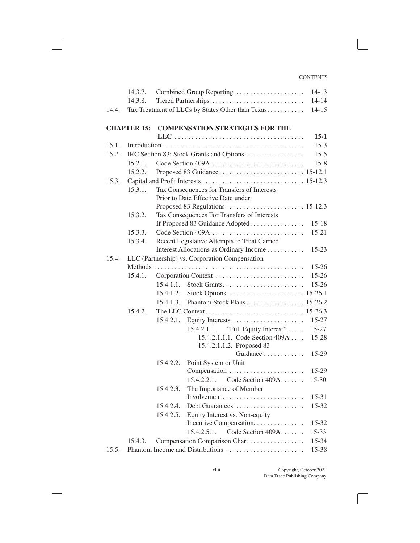|       | 14.3.7.            |           | Combined Group Reporting                           | $14 - 13$ |
|-------|--------------------|-----------|----------------------------------------------------|-----------|
|       | 14.3.8.            |           |                                                    | $14 - 14$ |
| 14.4. |                    |           | Tax Treatment of LLCs by States Other than Texas   | $14 - 15$ |
|       |                    |           |                                                    |           |
|       | <b>CHAPTER 15:</b> |           | <b>COMPENSATION STRATEGIES FOR THE</b>             |           |
|       |                    |           |                                                    | $15-1$    |
| 15.1. |                    |           |                                                    | $15-3$    |
| 15.2. |                    |           | IRC Section 83: Stock Grants and Options           | $15-5$    |
|       | 15.2.1.            |           | Code Section 409A                                  | $15 - 8$  |
|       | 15.2.2.            |           |                                                    |           |
| 15.3. |                    |           |                                                    |           |
|       | 15.3.1.            |           | Tax Consequences for Transfers of Interests        |           |
|       |                    |           | Prior to Date Effective Date under                 |           |
|       |                    |           |                                                    |           |
|       | 15.3.2.            |           | Tax Consequences For Transfers of Interests        |           |
|       |                    |           | If Proposed 83 Guidance Adopted                    | $15 - 18$ |
|       | 15.3.3.            |           | Code Section 409A                                  | $15 - 21$ |
|       | 15.3.4.            |           | Recent Legislative Attempts to Treat Carried       |           |
|       |                    |           | Interest Allocations as Ordinary Income            | $15 - 23$ |
| 15.4. |                    |           | LLC (Partnership) vs. Corporation Compensation     |           |
|       |                    |           |                                                    | $15 - 26$ |
|       | 15.4.1.            |           | Corporation Context                                | $15 - 26$ |
|       |                    | 15.4.1.1. |                                                    | $15 - 26$ |
|       |                    | 15.4.1.2. |                                                    |           |
|       |                    | 15.4.1.3. | Phantom Stock Plans 15-26.2                        |           |
|       | 15.4.2.            |           |                                                    |           |
|       |                    | 15.4.2.1. |                                                    | $15 - 27$ |
|       |                    |           | "Full Equity Interest"<br>15.4.2.1.1.              | $15 - 27$ |
|       |                    |           | 15.4.2.1.1.1. Code Section 409A                    | 15-28     |
|       |                    |           | 15.4.2.1.1.2. Proposed 83<br>Guidance              |           |
|       |                    |           |                                                    | $15-29$   |
|       |                    | 15.4.2.2. | Point System or Unit                               | $15-29$   |
|       |                    |           | Compensation<br>Code Section $409A$<br>15.4.2.2.1. | $15 - 30$ |
|       |                    | 15.4.2.3. |                                                    |           |
|       |                    |           | The Importance of Member                           | $15 - 31$ |
|       |                    | 15.4.2.4. |                                                    | 15-32     |
|       |                    | 15.4.2.5. | Equity Interest vs. Non-equity                     |           |
|       |                    |           | Incentive Compensation.                            | $15 - 32$ |
|       |                    |           | Code Section 409A<br>15.4.2.5.1.                   | $15 - 33$ |
|       | 15.4.3.            |           | Compensation Comparison Chart                      | 15-34     |
| 15.5. |                    |           | Phantom Income and Distributions                   | 15-38     |
|       |                    |           |                                                    |           |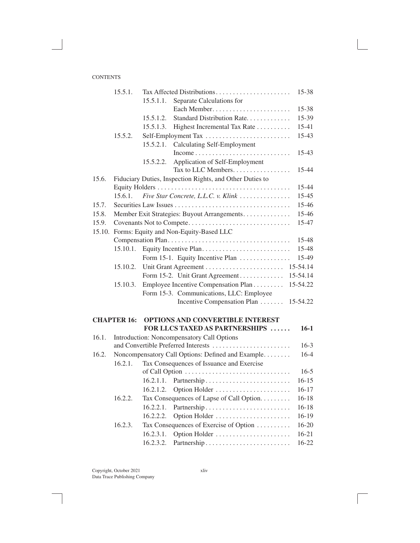|        | 15.5.1.                                |           | Tax Affected Distributions                               | 15-38     |
|--------|----------------------------------------|-----------|----------------------------------------------------------|-----------|
|        |                                        | 15.5.1.1. | Separate Calculations for                                |           |
|        |                                        |           |                                                          | 15-38     |
|        |                                        | 15.5.1.2. | Standard Distribution Rate.                              | 15-39     |
|        |                                        | 15.5.1.3. | Highest Incremental Tax Rate                             | 15-41     |
|        | 15.5.2.                                |           | Self-Employment Tax                                      | 15-43     |
|        |                                        | 15.5.2.1. | <b>Calculating Self-Employment</b>                       |           |
|        |                                        |           |                                                          | 15-43     |
|        |                                        | 15.5.2.2. | Application of Self-Employment                           |           |
|        |                                        |           | Tax to LLC Members.                                      | 15-44     |
| 15.6.  |                                        |           | Fiduciary Duties, Inspection Rights, and Other Duties to |           |
|        |                                        |           |                                                          | 15-44     |
|        | 15.6.1.                                |           | Five Star Concrete, L.L.C. v. Klink                      | 15-45     |
| 15.7.  |                                        |           |                                                          | 15-46     |
| 15.8.  |                                        |           | Member Exit Strategies: Buyout Arrangements              | 15-46     |
| 15.9.  |                                        |           |                                                          | 15-47     |
| 15.10. | Forms: Equity and Non-Equity-Based LLC |           |                                                          |           |
|        |                                        |           |                                                          | 15-48     |
|        | 15.10.1.                               |           |                                                          | 15-48     |
|        |                                        |           | Form 15-1. Equity Incentive Plan                         | 15-49     |
|        | 15.10.2.                               |           |                                                          | 15-54.14  |
|        |                                        |           | Form 15-2. Unit Grant Agreement                          | 15-54.14  |
|        | 15.10.3.                               |           | Employee Incentive Compensation Plan                     | 15-54.22  |
|        |                                        |           | Form 15-3. Communications, LLC: Employee                 |           |
|        |                                        |           | Incentive Compensation Plan                              | 15-54.22  |
|        | <b>CHAPTER 16:</b>                     |           | OPTIONS AND CONVERTIBLE INTEREST                         |           |
|        |                                        |           | FOR LLCS TAXED AS PARTNERSHIPS                           | $16-1$    |
| 16.1.  |                                        |           | Introduction: Noncompensatory Call Options               |           |
|        |                                        |           | and Convertible Preferred Interests                      | $16-3$    |
| 16.2.  |                                        |           | Noncompensatory Call Options: Defined and Example        | $16-4$    |
|        | 16.2.1.                                |           | Tax Consequences of Issuance and Exercise                |           |
|        |                                        |           |                                                          | $16-5$    |
|        |                                        | 16.2.1.1. |                                                          | $16 - 15$ |
|        |                                        | 16.2.1.2. | Option Holder                                            | $16 - 17$ |
|        | 16.2.2.                                |           | Tax Consequences of Lapse of Call Option                 | $16 - 18$ |
|        |                                        | 16.2.2.1. |                                                          | $16 - 18$ |
|        |                                        | 16.2.2.2. | Option Holder                                            | 16-19     |
|        | 16.2.3.                                |           | Tax Consequences of Exercise of Option                   | 16-20     |
|        |                                        | 16.2.3.1. | Option Holder                                            | $16 - 21$ |
|        |                                        | 16.2.3.2. |                                                          | 16-22     |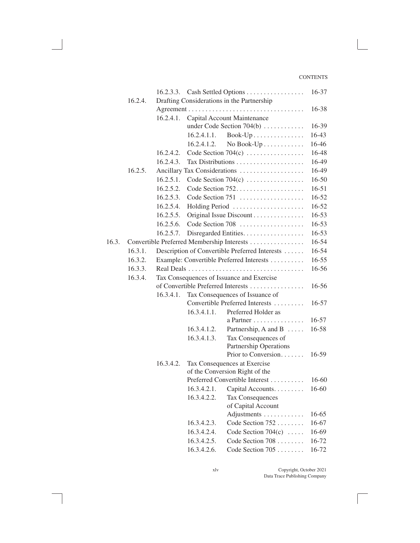|       |         |                                           |             | 16.2.3.3. Cash Settled Options                                   | 16-37     |
|-------|---------|-------------------------------------------|-------------|------------------------------------------------------------------|-----------|
|       | 16.2.4. |                                           |             | Drafting Considerations in the Partnership                       |           |
|       |         |                                           |             |                                                                  | 16-38     |
|       |         | 16.2.4.1.                                 |             | Capital Account Maintenance                                      |           |
|       |         |                                           |             | under Code Section $704(b)$                                      | 16-39     |
|       |         |                                           | 16.2.4.1.1. | $Book-Up$                                                        | 16-43     |
|       |         |                                           | 16.2.4.1.2. | No Book- $Up \ldots \ldots \ldots$                               | 16-46     |
|       |         | 16.2.4.2.                                 |             | Code Section $704(c)$                                            | 16-48     |
|       |         | 16.2.4.3.                                 |             |                                                                  | 16-49     |
|       | 16.2.5. |                                           |             | Ancillary Tax Considerations                                     | 16-49     |
|       |         | 16.2.5.1.                                 |             | Code Section $704(c)$                                            | 16-50     |
|       |         | 16.2.5.2.                                 |             |                                                                  | $16 - 51$ |
|       |         | 16.2.5.3.                                 |             | Code Section 751                                                 | $16 - 52$ |
|       |         | 16.2.5.4.                                 |             | Holding Period                                                   | 16-52     |
|       |         | 16.2.5.5.                                 |             | Original Issue Discount                                          | 16-53     |
|       |         | 16.2.5.6.                                 |             | Code Section 708                                                 | 16-53     |
|       |         | 16.2.5.7.                                 |             | Disregarded Entities.                                            | $16 - 53$ |
| 16.3. |         |                                           |             | Convertible Preferred Membership Interests                       | 16-54     |
|       | 16.3.1. |                                           |             | Description of Convertible Preferred Interests                   | 16-54     |
|       | 16.3.2. |                                           |             | Example: Convertible Preferred Interests                         | $16 - 55$ |
|       | 16.3.3. |                                           |             |                                                                  | 16-56     |
|       | 16.3.4. | Tax Consequences of Issuance and Exercise |             |                                                                  |           |
|       |         |                                           |             | of Convertible Preferred Interests                               | $16 - 56$ |
|       |         | 16.3.4.1.                                 |             | Tax Consequences of Issuance of                                  |           |
|       |         |                                           |             | Convertible Preferred Interests                                  | 16-57     |
|       |         |                                           | 16.3.4.1.1. | Preferred Holder as                                              |           |
|       |         |                                           |             | a Partner                                                        | 16-57     |
|       |         |                                           | 16.3.4.1.2. | Partnership, A and B $\dots$                                     | 16-58     |
|       |         |                                           | 16.3.4.1.3. | Tax Consequences of                                              |           |
|       |         |                                           |             | Partnership Operations                                           |           |
|       |         |                                           |             | Prior to Conversion                                              | 16-59     |
|       |         | 16.3.4.2.                                 |             | Tax Consequences at Exercise                                     |           |
|       |         |                                           |             | of the Conversion Right of the<br>Preferred Convertible Interest | $16-60$   |
|       |         |                                           | 16.3.4.2.1. | Capital Accounts.                                                | 16-60     |
|       |         |                                           | 16.3.4.2.2. | <b>Tax Consequences</b>                                          |           |
|       |         |                                           |             | of Capital Account                                               |           |
|       |         |                                           |             | Adjustments                                                      | 16-65     |
|       |         |                                           | 16.3.4.2.3. | Code Section 752                                                 | 16-67     |
|       |         |                                           | 16.3.4.2.4. | Code Section 704(c) $\ldots$ .                                   | 16-69     |
|       |         |                                           | 16.3.4.2.5. | Code Section 708                                                 | 16-72     |
|       |         |                                           | 16.3.4.2.6. | Code Section 705                                                 | 16-72     |
|       |         |                                           |             |                                                                  |           |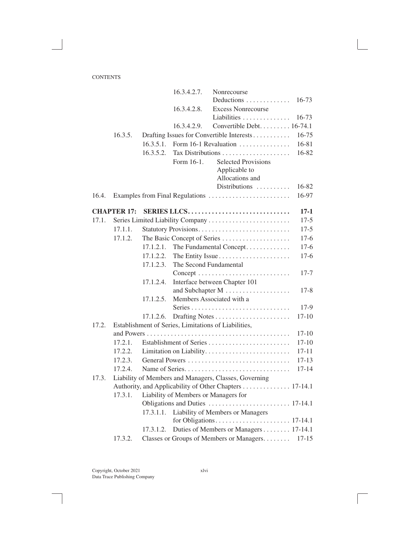|       |                    |           | 16.3.4.2.7.            | Nonrecourse                                                           |           |
|-------|--------------------|-----------|------------------------|-----------------------------------------------------------------------|-----------|
|       |                    |           |                        | Deductions                                                            | $16 - 73$ |
|       |                    |           | 16.3.4.2.8.            | <b>Excess Nonrecourse</b>                                             |           |
|       |                    |           |                        | Liabilities                                                           | $16 - 73$ |
|       |                    |           | 16.3.4.2.9.            | Convertible Debt. 16-74.1                                             |           |
|       | 16.3.5.            |           |                        | Drafting Issues for Convertible Interests                             | 16-75     |
|       |                    | 16.3.5.1. |                        | Form 16-1 Revaluation                                                 | 16-81     |
|       |                    | 16.3.5.2. |                        |                                                                       | 16-82     |
|       |                    |           | Form 16-1.             | <b>Selected Provisions</b>                                            |           |
|       |                    |           |                        | Applicable to                                                         |           |
|       |                    |           |                        | Allocations and                                                       |           |
|       |                    |           |                        | Distributions                                                         | 16-82     |
| 16.4. |                    |           |                        | Examples from Final Regulations                                       | 16-97     |
|       | <b>CHAPTER 17:</b> |           |                        | SERIES LLCS                                                           | $17 - 1$  |
| 17.1. |                    |           |                        | Series Limited Liability Company                                      | $17-5$    |
|       | 17.1.1.            |           |                        |                                                                       | $17-5$    |
|       | 17.1.2.            |           |                        | The Basic Concept of Series                                           | $17-6$    |
|       |                    | 17.1.2.1. |                        | The Fundamental Concept                                               | $17-6$    |
|       |                    | 17.1.2.2. |                        | The Entity Issue                                                      | $17-6$    |
|       |                    | 17.1.2.3. | The Second Fundamental |                                                                       |           |
|       |                    |           |                        | $Concept \dots \dots \dots \dots \dots \dots \dots \dots \dots \dots$ | $17 - 7$  |
|       |                    | 17.1.2.4. |                        | Interface between Chapter 101                                         |           |
|       |                    |           |                        |                                                                       | $17 - 8$  |
|       |                    | 17.1.2.5. |                        | Members Associated with a                                             |           |
|       |                    |           |                        |                                                                       | $17-9$    |
|       |                    | 17.1.2.6. |                        |                                                                       | $17 - 10$ |
| 17.2. |                    |           |                        | Establishment of Series, Limitations of Liabilities,                  |           |
|       |                    |           |                        |                                                                       | $17 - 10$ |
|       | 17.2.1.            |           |                        |                                                                       | $17 - 10$ |
|       | 17.2.2.            |           |                        |                                                                       | $17 - 11$ |
|       | 17.2.3.            |           |                        |                                                                       | $17 - 13$ |
|       | 17.2.4.            |           |                        |                                                                       | $17 - 14$ |
| 17.3. |                    |           |                        | Liability of Members and Managers, Classes, Governing                 |           |
|       |                    |           |                        | Authority, and Applicability of Other Chapters 17-14.1                |           |
|       | 17.3.1.            |           |                        | Liability of Members or Managers for                                  |           |
|       |                    |           |                        |                                                                       |           |
|       |                    | 17.3.1.1. |                        | Liability of Members or Managers                                      |           |
|       |                    |           |                        |                                                                       |           |
|       |                    | 17.3.1.2. |                        | Duties of Members or Managers 17-14.1                                 |           |
|       | 17.3.2.            |           |                        | Classes or Groups of Members or Managers                              | $17 - 15$ |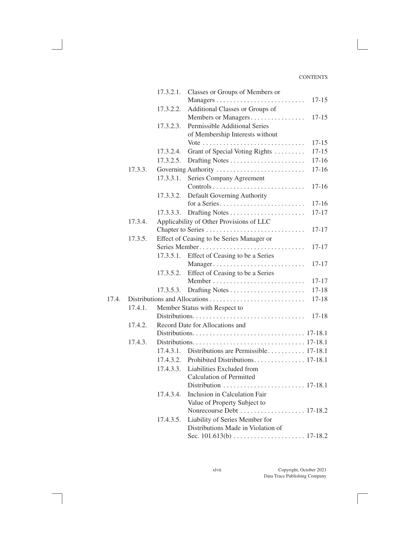|       |         | 17.3.2.1. | Classes or Groups of Members or           |           |
|-------|---------|-----------|-------------------------------------------|-----------|
|       |         |           |                                           | $17 - 15$ |
|       |         | 17.3.2.2. | Additional Classes or Groups of           |           |
|       |         |           | Members or Managers                       | $17 - 15$ |
|       |         | 17.3.2.3. | Permissible Additional Series             |           |
|       |         |           | of Membership Interests without           |           |
|       |         |           |                                           | 17-15     |
|       |         | 17.3.2.4. | Grant of Special Voting Rights            | $17 - 15$ |
|       |         | 17.3.2.5. |                                           | $17 - 16$ |
|       | 17.3.3. |           | Governing Authority                       | $17 - 16$ |
|       |         | 17.3.3.1. | Series Company Agreement                  |           |
|       |         |           |                                           | $17 - 16$ |
|       |         | 17.3.3.2. | Default Governing Authority               |           |
|       |         |           | for a Series                              | $17 - 16$ |
|       |         | 17.3.3.3. |                                           | $17 - 17$ |
|       | 17.3.4. |           | Applicability of Other Provisions of LLC  |           |
|       |         |           |                                           | $17 - 17$ |
|       | 17.3.5. |           | Effect of Ceasing to be Series Manager or |           |
|       |         |           | Series Member                             | 17-17     |
|       |         | 17.3.5.1. | Effect of Ceasing to be a Series          |           |
|       |         |           | Manager                                   | 17-17     |
|       |         | 17.3.5.2. | Effect of Ceasing to be a Series          |           |
|       |         |           |                                           | $17 - 17$ |
|       |         | 17.3.5.3. |                                           | $17 - 18$ |
| 17.4. |         |           |                                           | $17 - 18$ |
|       | 17.4.1. |           | Member Status with Respect to             |           |
|       |         |           |                                           | $17 - 18$ |
|       | 17.4.2. |           | Record Date for Allocations and           |           |
|       |         |           |                                           |           |
|       | 17.4.3. |           |                                           |           |
|       |         | 17.4.3.1. | Distributions are Permissible 17-18.1     |           |
|       |         | 17.4.3.2. |                                           |           |
|       |         | 17.4.3.3. | Liabilities Excluded from                 |           |
|       |         |           | <b>Calculation of Permitted</b>           |           |
|       |         |           |                                           |           |
|       |         | 17.4.3.4. | Inclusion in Calculation Fair             |           |
|       |         |           | Value of Property Subject to              |           |
|       |         |           |                                           |           |
|       |         | 17.4.3.5. | Liability of Series Member for            |           |
|       |         |           | Distributions Made in Violation of        |           |
|       |         |           |                                           |           |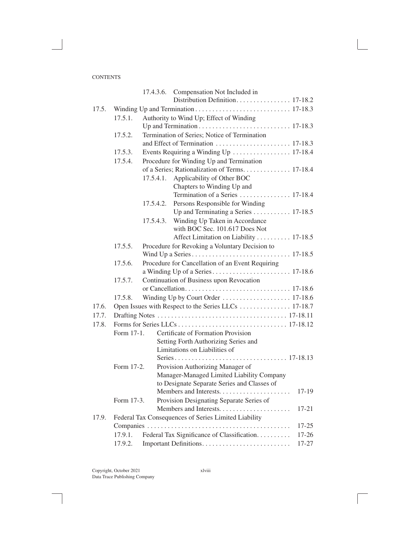|       |            |           | 17.4.3.6. Compensation Not Included in               |           |
|-------|------------|-----------|------------------------------------------------------|-----------|
|       |            |           |                                                      |           |
| 17.5. |            |           |                                                      |           |
|       | 17.5.1.    |           | Authority to Wind Up; Effect of Winding              |           |
|       |            |           |                                                      |           |
|       | 17.5.2.    |           | Termination of Series; Notice of Termination         |           |
|       |            |           |                                                      |           |
|       | 17.5.3.    |           | Events Requiring a Winding Up  17-18.4               |           |
|       | 17.5.4.    |           | Procedure for Winding Up and Termination             |           |
|       |            |           | of a Series; Rationalization of Terms. 17-18.4       |           |
|       |            |           | 17.5.4.1. Applicability of Other BOC                 |           |
|       |            |           | Chapters to Winding Up and                           |           |
|       |            |           | Termination of a Series  17-18.4                     |           |
|       |            | 17.5.4.2. | Persons Responsible for Winding                      |           |
|       |            |           | Up and Terminating a Series 17-18.5                  |           |
|       |            | 17.5.4.3. | Winding Up Taken in Accordance                       |           |
|       |            |           | with BOC Sec. 101.617 Does Not                       |           |
|       |            |           | Affect Limitation on Liability 17-18.5               |           |
|       | 17.5.5.    |           | Procedure for Revoking a Voluntary Decision to       |           |
|       |            |           |                                                      |           |
|       | 17.5.6.    |           | Procedure for Cancellation of an Event Requiring     |           |
|       |            |           |                                                      |           |
|       | 17.5.7.    |           | Continuation of Business upon Revocation             |           |
|       |            |           |                                                      |           |
|       | 17.5.8.    |           | Winding Up by Court Order  17-18.6                   |           |
| 17.6. |            |           |                                                      |           |
| 17.7. |            |           |                                                      |           |
| 17.8. |            |           |                                                      |           |
|       | Form 17-1. |           | Certificate of Formation Provision                   |           |
|       |            |           | Setting Forth Authorizing Series and                 |           |
|       |            |           | Limitations on Liabilities of                        |           |
|       |            |           |                                                      |           |
|       | Form 17-2. |           | Provision Authorizing Manager of                     |           |
|       |            |           | Manager-Managed Limited Liability Company            |           |
|       |            |           | to Designate Separate Series and Classes of          |           |
|       |            |           | Members and Interests                                | $17-19$   |
|       | Form 17-3. |           | Provision Designating Separate Series of             |           |
|       |            |           |                                                      | $17 - 21$ |
| 17.9. |            |           | Federal Tax Consequences of Series Limited Liability |           |
|       |            |           |                                                      | $17 - 25$ |
|       | 17.9.1.    |           | Federal Tax Significance of Classification.          | $17 - 26$ |
|       | 17.9.2.    |           |                                                      | 17-27     |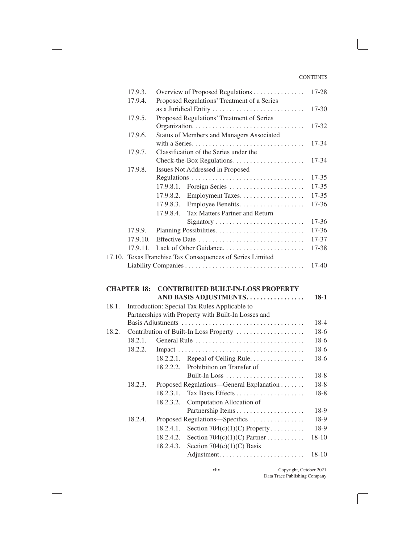|       | 17.9.3.            | Overview of Proposed Regulations                          | 17-28     |
|-------|--------------------|-----------------------------------------------------------|-----------|
|       | 17.9.4.            | Proposed Regulations' Treatment of a Series               |           |
|       |                    |                                                           | $17 - 30$ |
|       | 17.9.5.            | Proposed Regulations' Treatment of Series                 |           |
|       |                    |                                                           | 17-32     |
|       | 17.9.6.            | Status of Members and Managers Associated                 |           |
|       |                    |                                                           | $17 - 34$ |
|       | 17.9.7.            | Classification of the Series under the                    |           |
|       |                    | Check-the-Box Regulations                                 | 17-34     |
|       | 17.9.8.            | Issues Not Addressed in Proposed                          |           |
|       |                    | Regulations                                               | $17 - 35$ |
|       |                    | 17.9.8.1.<br>Foreign Series                               | 17-35     |
|       |                    | Employment Taxes.<br>17.9.8.2.                            | $17 - 35$ |
|       |                    | Employee Benefits<br>17.9.8.3.                            | 17-36     |
|       |                    | Tax Matters Partner and Return<br>17.9.8.4.               |           |
|       |                    | Signatory                                                 | 17-36     |
|       | 17.9.9.            | Planning Possibilities                                    | 17-36     |
|       | 17.9.10.           | Effective Date                                            | 17-37     |
|       | 17.9.11.           | Lack of Other Guidance                                    | 17-38     |
|       |                    | 17.10. Texas Franchise Tax Consequences of Series Limited |           |
|       |                    |                                                           | 17-40     |
|       |                    |                                                           |           |
|       | <b>CHAPTER 18:</b> | <b>CONTRIBUTED BUILT-IN-LOSS PROPERTY</b>                 |           |
|       |                    | AND BASIS ADJUSTMENTS                                     | $18-1$    |
| 18.1. |                    | Introduction: Special Tax Rules Applicable to             |           |
|       |                    | Partnerships with Property with Built-In Losses and       |           |
|       |                    |                                                           | $18-4$    |
| 18.2. |                    | Contribution of Built-In Loss Property                    | $18-6$    |
|       | 18.2.1.            | General Rule                                              | 18-6      |
|       | 18.2.2.            |                                                           | $18-6$    |
|       |                    | 18.2.2.1. Repeal of Ceiling Rule.                         | $18-6$    |

|         | 18.2.2.1. | Repeal of Ceiling Rule                   | 18-6      |
|---------|-----------|------------------------------------------|-----------|
|         |           | 18.2.2.2. Prohibition on Transfer of     |           |
|         |           | Built-In Loss                            | 18-8      |
| 18.2.3. |           | Proposed Regulations—General Explanation | $18-8$    |
|         | 18.2.3.1  |                                          | 18-8      |
|         |           | 18.2.3.2. Computation Allocation of      |           |
|         |           |                                          | 18-9      |
| 18.2.4. |           | Proposed Regulations—Specifics           | 18-9      |
|         | 18.2.4.1. | Section 704(c)(1)(C) Property            | 18-9      |
|         | 18.2.4.2. | Section 704(c)(1)(C) Partner             | $18 - 10$ |
|         |           | 18.2.4.3. Section $704(c)(1)(C)$ Basis   |           |
|         |           |                                          | $18-10$   |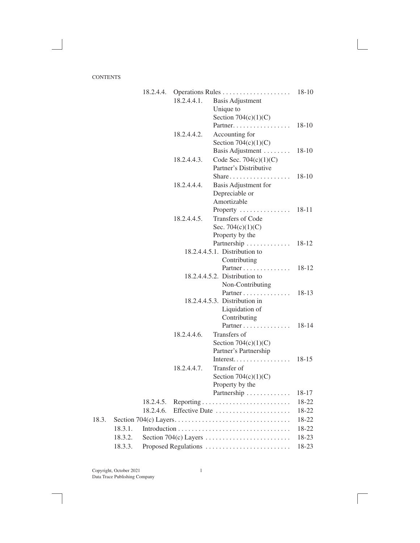|       |         | 18.2.4.4. |             |                                                                         |         |
|-------|---------|-----------|-------------|-------------------------------------------------------------------------|---------|
|       |         |           | 18.2.4.4.1. | <b>Basis Adjustment</b>                                                 |         |
|       |         |           |             | Unique to                                                               |         |
|       |         |           |             | Section $704(c)(1)(C)$                                                  |         |
|       |         |           |             |                                                                         | $18-10$ |
|       |         |           | 18.2.4.4.2. | Accounting for                                                          |         |
|       |         |           |             | Section $704(c)(1)(C)$                                                  |         |
|       |         |           |             | Basis Adjustment                                                        | 18-10   |
|       |         |           | 18.2.4.4.3. | Code Sec. $704(c)(1)(C)$                                                |         |
|       |         |           |             | Partner's Distributive                                                  |         |
|       |         |           |             |                                                                         |         |
|       |         |           | 18.2.4.4.4. | Basis Adjustment for                                                    |         |
|       |         |           |             | Depreciable or                                                          |         |
|       |         |           |             | Amortizable                                                             |         |
|       |         |           |             | Property                                                                | 18-11   |
|       |         |           | 18.2.4.4.5. | Transfers of Code                                                       |         |
|       |         |           |             | Sec. $704(c)(1)(C)$                                                     |         |
|       |         |           |             | Property by the                                                         |         |
|       |         |           |             | Partnership                                                             | 18-12   |
|       |         |           |             | 18.2.4.4.5.1. Distribution to                                           |         |
|       |         |           |             | Contributing                                                            |         |
|       |         |           |             | Partner                                                                 | 18-12   |
|       |         |           |             | $18.2.4.4.5.2$ . Distribution to                                        |         |
|       |         |           |             | Non-Contributing                                                        |         |
|       |         |           |             | Partner                                                                 | $18-13$ |
|       |         |           |             | 18.2.4.4.5.3. Distribution in                                           |         |
|       |         |           |             | Liquidation of                                                          |         |
|       |         |           |             | Contributing                                                            |         |
|       |         |           |             | Partner                                                                 | 18-14   |
|       |         |           | 18.2.4.4.6. | Transfers of                                                            |         |
|       |         |           |             | Section $704(c)(1)(C)$                                                  |         |
|       |         |           |             | Partner's Partnership                                                   |         |
|       |         |           |             | Interest                                                                | $18-15$ |
|       |         |           |             |                                                                         |         |
|       |         |           | 18.2.4.4.7. | Transfer of                                                             |         |
|       |         |           |             | Section $704(c)(1)(C)$                                                  |         |
|       |         |           |             | Property by the                                                         |         |
|       |         |           |             | Partnership                                                             | 18-17   |
|       |         | 18.2.4.5. |             |                                                                         | 18-22   |
|       |         | 18.2.4.6. |             | Effective Date                                                          | 18-22   |
| 18.3. |         |           |             |                                                                         | 18-22   |
|       | 18.3.1. |           |             |                                                                         | 18-22   |
|       | 18.3.2. |           |             | Section 704(c) Layers $\dots \dots \dots \dots \dots \dots \dots \dots$ | 18-23   |
|       | 18.3.3. |           |             | Proposed Regulations                                                    | 18-23   |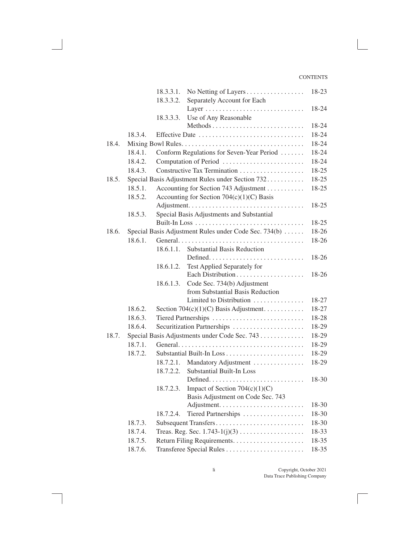|       |         | 18.3.3.1. | No Netting of Layers                                  | 18-23 |
|-------|---------|-----------|-------------------------------------------------------|-------|
|       |         | 18.3.3.2. | Separately Account for Each                           |       |
|       |         |           |                                                       | 18-24 |
|       |         | 18.3.3.3. | Use of Any Reasonable                                 |       |
|       |         |           |                                                       | 18-24 |
|       | 18.3.4. |           | Effective Date                                        | 18-24 |
| 18.4. |         |           |                                                       | 18-24 |
|       | 18.4.1. |           | Conform Regulations for Seven-Year Period             | 18-24 |
|       | 18.4.2. |           | Computation of Period                                 | 18-24 |
|       | 18.4.3. |           |                                                       | 18-25 |
| 18.5. |         |           | Special Basis Adjustment Rules under Section 732      | 18-25 |
|       | 18.5.1. |           | Accounting for Section 743 Adjustment                 | 18-25 |
|       | 18.5.2. |           | Accounting for Section $704(c)(1)(C)$ Basis           |       |
|       |         |           |                                                       | 18-25 |
|       | 18.5.3. |           | Special Basis Adjustments and Substantial             |       |
|       |         |           |                                                       | 18-25 |
| 18.6. |         |           | Special Basis Adjustment Rules under Code Sec. 734(b) | 18-26 |
|       | 18.6.1. |           |                                                       | 18-26 |
|       |         | 18.6.1.1. | <b>Substantial Basis Reduction</b>                    |       |
|       |         |           |                                                       | 18-26 |
|       |         | 18.6.1.2. | Test Applied Separately for                           |       |
|       |         |           | Each Distribution                                     | 18-26 |
|       |         | 18.6.1.3. | Code Sec. 734(b) Adjustment                           |       |
|       |         |           | from Substantial Basis Reduction                      |       |
|       |         |           | Limited to Distribution                               | 18-27 |
|       | 18.6.2. |           | Section 704(c)(1)(C) Basis Adjustment                 | 18-27 |
|       | 18.6.3. |           |                                                       | 18-28 |
|       | 18.6.4. |           | Securitization Partnerships                           | 18-29 |
| 18.7. |         |           | Special Basis Adjustments under Code Sec. 743         | 18-29 |
|       | 18.7.1. |           |                                                       | 18-29 |
|       | 18.7.2. |           |                                                       | 18-29 |
|       |         | 18.7.2.1. | Mandatory Adjustment                                  | 18-29 |
|       |         | 18.7.2.2. | <b>Substantial Built-In Loss</b>                      |       |
|       |         |           |                                                       | 18-30 |
|       |         | 18.7.2.3. | Impact of Section $704(c)(1)(C)$                      |       |
|       |         |           | Basis Adjustment on Code Sec. 743                     |       |
|       |         |           |                                                       | 18-30 |
|       |         | 18.7.2.4. | Tiered Partnerships                                   | 18-30 |
|       | 18.7.3. |           | Subsequent Transfers                                  | 18-30 |
|       | 18.7.4. |           |                                                       | 18-33 |
|       | 18.7.5. |           |                                                       | 18-35 |
|       | 18.7.6. |           | Transferee Special Rules                              | 18-35 |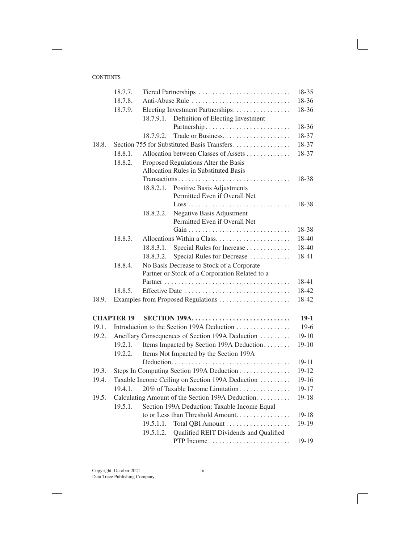|       | 18.7.7.           | Tiered Partnerships                                                            | 18-35     |
|-------|-------------------|--------------------------------------------------------------------------------|-----------|
|       | 18.7.8.           | Anti-Abuse Rule                                                                | 18-36     |
|       | 18.7.9.           | Electing Investment Partnerships                                               | 18-36     |
|       |                   | Definition of Electing Investment<br>18.7.9.1.                                 |           |
|       |                   |                                                                                | 18-36     |
|       |                   | 18.7.9.2.                                                                      | 18-37     |
| 18.8. |                   | Section 755 for Substituted Basis Transfers                                    | 18-37     |
|       | 18.8.1.           | Allocation between Classes of Assets                                           | 18-37     |
|       | 18.8.2.           | Proposed Regulations Alter the Basis                                           |           |
|       |                   | <b>Allocation Rules in Substituted Basis</b>                                   |           |
|       |                   | Transactions                                                                   | 18-38     |
|       |                   | Positive Basis Adjustments<br>18.8.2.1.                                        |           |
|       |                   | Permitted Even if Overall Net                                                  |           |
|       |                   | $Loss \dots \dots \dots \dots \dots \dots \dots \dots \dots \dots \dots \dots$ | 18-38     |
|       |                   | Negative Basis Adjustment<br>18.8.2.2.<br>Permitted Even if Overall Net        |           |
|       |                   |                                                                                | 18-38     |
|       | 18.8.3.           | Allocations Within a Class                                                     | 18-40     |
|       |                   | Special Rules for Increase<br>18.8.3.1.                                        | 18-40     |
|       |                   | Special Rules for Decrease<br>18.8.3.2.                                        | 18-41     |
|       | 18.8.4.           | No Basis Decrease to Stock of a Corporate                                      |           |
|       |                   | Partner or Stock of a Corporation Related to a                                 |           |
|       |                   |                                                                                | 18-41     |
|       | 18.8.5.           |                                                                                | 18-42     |
| 18.9. |                   |                                                                                | 18-42     |
|       |                   |                                                                                |           |
|       | <b>CHAPTER 19</b> | <b>SECTION 199A</b>                                                            | $19-1$    |
| 19.1. |                   | Introduction to the Section 199A Deduction                                     | $19-6$    |
| 19.2. |                   | Ancillary Consequences of Section 199A Deduction                               | $19-10$   |
|       | 19.2.1.           | Items Impacted by Section 199A Deduction                                       | $19-10$   |
|       | 19.2.2.           | Items Not Impacted by the Section 199A                                         |           |
|       |                   |                                                                                | 19-11     |
| 19.3. |                   | Steps In Computing Section 199A Deduction                                      | 19-12     |
| 19.4. |                   | Taxable Income Ceiling on Section 199A Deduction                               | $19-16$   |
|       | 19.4.1.           | 20% of Taxable Income Limitation                                               | $19-17$   |
| 19.5. |                   | Calculating Amount of the Section 199A Deduction                               | $19 - 18$ |
|       | 19.5.1.           | Section 199A Deduction: Taxable Income Equal                                   |           |
|       |                   | to or Less than Threshold Amount                                               | 19-18     |
|       |                   | 19.5.1.1.                                                                      | 19-19     |
|       |                   | Qualified REIT Dividends and Qualified<br>19.5.1.2.                            |           |
|       |                   |                                                                                | 19-19     |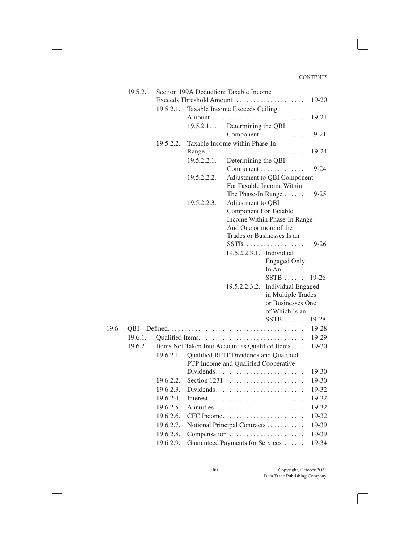|       | 19.5.2. | Section 199A Deduction: Taxable Income |             |                                        |                                                 |         |
|-------|---------|----------------------------------------|-------------|----------------------------------------|-------------------------------------------------|---------|
|       |         |                                        |             |                                        | Exceeds Threshold Amount                        | 19-20   |
|       |         | 19.5.2.1.                              |             | Taxable Income Exceeds Ceiling         |                                                 |         |
|       |         |                                        |             |                                        |                                                 | 19-21   |
|       |         |                                        | 19.5.2.1.1. | Determining the QBI                    |                                                 |         |
|       |         |                                        |             |                                        | Component                                       | 19-21   |
|       |         | 19.5.2.2.                              |             | Taxable Income within Phase-In         |                                                 |         |
|       |         |                                        |             | Range                                  | 1.1.1.1.1.1                                     | 19-24   |
|       |         |                                        | 19.5.2.2.1. | Determining the QBI                    |                                                 |         |
|       |         |                                        |             |                                        | Component                                       | 19-24   |
|       |         |                                        | 19.5.2.2.2. |                                        | Adjustment to QBI Component                     |         |
|       |         |                                        |             |                                        | For Taxable Income Within                       |         |
|       |         |                                        |             |                                        | The Phase-In Range                              | $19-25$ |
|       |         |                                        | 19.5.2.2.3. | Adjustment to QBI                      |                                                 |         |
|       |         |                                        |             | <b>Component For Taxable</b>           |                                                 |         |
|       |         |                                        |             |                                        | Income Within Phase-In Range                    |         |
|       |         |                                        |             | And One or more of the                 |                                                 |         |
|       |         |                                        |             |                                        | Trades or Businesses Is an<br>$SSTB$            | $19-26$ |
|       |         |                                        |             | 19.5.2.2.3.1. Individual               |                                                 |         |
|       |         |                                        |             |                                        | <b>Engaged Only</b>                             |         |
|       |         |                                        |             |                                        | In An                                           |         |
|       |         |                                        |             |                                        | $SSTR$                                          | $19-26$ |
|       |         |                                        |             | 19.5.2.2.3.2.                          | <b>Individual Engaged</b>                       |         |
|       |         |                                        |             |                                        | in Multiple Trades                              |         |
|       |         |                                        |             |                                        | or Businesses One                               |         |
|       |         |                                        |             |                                        | of Which Is an                                  |         |
|       |         |                                        |             |                                        | $SSTB$                                          | 19-28   |
| 19.6. |         |                                        |             |                                        |                                                 | 19-28   |
|       | 19.6.1. |                                        |             |                                        |                                                 | 19-29   |
|       | 19.6.2. |                                        |             |                                        | Items Not Taken Into Account as Qualified Items | 19-30   |
|       |         | 19.6.2.1.                              |             | Qualified REIT Dividends and Qualified |                                                 |         |
|       |         |                                        |             | PTP Income and Qualified Cooperative   |                                                 |         |
|       |         |                                        |             |                                        | Dividends                                       | 19-30   |
|       |         | 19.6.2.2.                              |             |                                        |                                                 | 19-30   |
|       |         | 19.6.2.3.                              |             |                                        | Dividends                                       | 19-32   |
|       |         | 19.6.2.4.                              |             |                                        | Interest                                        | 19-32   |
|       |         | 19.6.2.5.                              |             |                                        |                                                 | 19-32   |
|       |         | 19.6.2.6.                              |             |                                        | $CFC$ Income                                    | 19-32   |
|       |         | 19.6.2.7.                              |             |                                        | Notional Principal Contracts                    | 19-39   |
|       |         | 19.6.2.8.                              |             |                                        | Compensation                                    | 19-39   |
|       |         | 19.6.2.9.                              |             |                                        | Guaranteed Payments for Services                | 19-34   |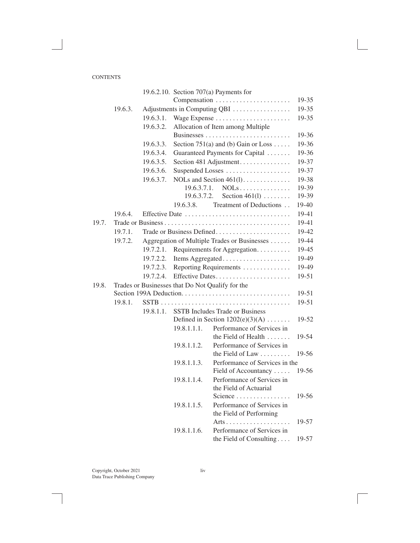|       |                                                  |           |             | 19.6.2.10. Section $707(a)$ Payments for     |       |  |
|-------|--------------------------------------------------|-----------|-------------|----------------------------------------------|-------|--|
|       |                                                  |           |             | Compensation                                 | 19-35 |  |
|       | 19.6.3.                                          |           |             | Adjustments in Computing QBI                 | 19-35 |  |
|       |                                                  | 19.6.3.1. |             | Wage Expense                                 | 19-35 |  |
|       |                                                  | 19.6.3.2. |             | Allocation of Item among Multiple            |       |  |
|       |                                                  |           |             |                                              | 19-36 |  |
|       |                                                  | 19.6.3.3. |             | Section 751(a) and (b) Gain or Loss          | 19-36 |  |
|       |                                                  | 19.6.3.4. |             | Guaranteed Payments for Capital              | 19-36 |  |
|       |                                                  | 19.6.3.5. |             | Section 481 Adjustment.                      | 19-37 |  |
|       |                                                  | 19.6.3.6. |             | Suspended Losses                             | 19-37 |  |
|       |                                                  | 19.6.3.7. |             | NOLs and Section $461(1)$                    | 19-38 |  |
|       |                                                  |           | 19.6.3.7.1. | $NOLs$                                       | 19-39 |  |
|       |                                                  |           | 19.6.3.7.2. | Section $461(1) \ldots \ldots$               | 19-39 |  |
|       |                                                  |           | 19.6.3.8.   | Treatment of Deductions                      | 19-40 |  |
|       | 19.6.4.                                          |           |             | Effective Date                               | 19-41 |  |
| 19.7. |                                                  |           |             |                                              | 19-41 |  |
|       | 19.7.1.                                          |           |             | Trade or Business Defined                    | 19-42 |  |
|       | 19.7.2.                                          |           |             | Aggregation of Multiple Trades or Businesses | 19-44 |  |
|       |                                                  | 19.7.2.1. |             | Requirements for Aggregation.                | 19-45 |  |
|       |                                                  | 19.7.2.2. |             | Items Aggregated                             | 19-49 |  |
|       |                                                  | 19.7.2.3. |             | Reporting Requirements                       | 19-49 |  |
|       |                                                  | 19.7.2.4. |             | Effective Dates                              | 19-51 |  |
| 19.8. | Trades or Businesses that Do Not Qualify for the |           |             |                                              |       |  |
|       |                                                  |           |             | Section 199A Deduction                       | 19-51 |  |
|       | 19.8.1.                                          |           |             |                                              | 19-51 |  |
|       |                                                  | 19.8.1.1. |             | <b>SSTB</b> Includes Trade or Business       |       |  |
|       |                                                  |           |             | Defined in Section $1202(e)(3)(A)$           | 19-52 |  |
|       |                                                  |           | 19.8.1.1.1. | Performance of Services in                   |       |  |
|       |                                                  |           |             | the Field of Health                          | 19-54 |  |
|       |                                                  |           | 19.8.1.1.2. | Performance of Services in                   |       |  |
|       |                                                  |           |             | the Field of Law $\dots\dots\dots$           | 19-56 |  |
|       |                                                  |           | 19.8.1.1.3. | Performance of Services in the               |       |  |
|       |                                                  |           |             | Field of Accountancy                         | 19-56 |  |
|       |                                                  |           | 19.8.1.1.4. | Performance of Services in                   |       |  |
|       |                                                  |           |             | the Field of Actuarial                       |       |  |
|       |                                                  |           |             | Science $\ldots \ldots \ldots \ldots \ldots$ | 19-56 |  |
|       |                                                  |           | 19.8.1.1.5. | Performance of Services in                   |       |  |
|       |                                                  |           |             | the Field of Performing                      |       |  |
|       |                                                  |           |             |                                              | 19-57 |  |
|       |                                                  |           | 19.8.1.1.6. | Performance of Services in                   |       |  |
|       |                                                  |           |             | the Field of Consulting                      | 19-57 |  |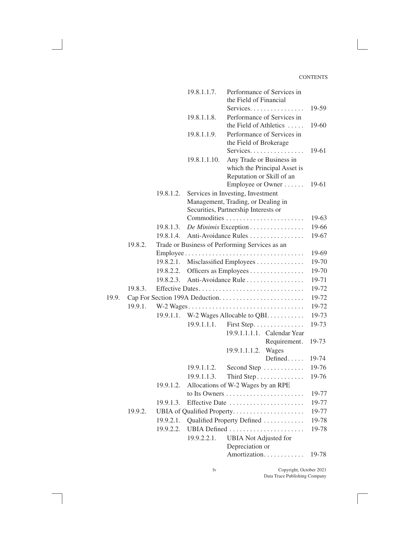|       |         |           | 19.8.1.1.7.   | Performance of Services in<br>the Field of Financial                                               |                |
|-------|---------|-----------|---------------|----------------------------------------------------------------------------------------------------|----------------|
|       |         |           | 19.8.1.1.8.   | Services.<br>Performance of Services in<br>the Field of Athletics                                  | 19-59<br>19-60 |
|       |         |           | 19.8.1.1.9.   | Performance of Services in<br>the Field of Brokerage                                               |                |
|       |         |           | 19.8.1.1.10.  | Services.<br>Any Trade or Business in<br>which the Principal Asset is<br>Reputation or Skill of an | 19-61          |
|       |         | 19.8.1.2. |               | Employee or Owner<br>Services in Investing, Investment                                             | 19-61          |
|       |         |           |               | Management, Trading, or Dealing in                                                                 |                |
|       |         |           |               | Securities, Partnership Interests or                                                               |                |
|       |         |           |               |                                                                                                    | 19-63          |
|       |         | 19.8.1.3. |               | De Minimis Exception                                                                               | 19-66          |
|       |         | 19.8.1.4. |               | Anti-Avoidance Rules                                                                               | 19-67          |
|       | 19.8.2. |           |               | Trade or Business of Performing Services as an                                                     |                |
|       |         |           |               |                                                                                                    | 19-69          |
|       |         | 19.8.2.1. |               | Misclassified Employees                                                                            | 19-70          |
|       |         | 19.8.2.2. |               | Officers as Employees                                                                              | 19-70          |
|       |         | 19.8.2.3. |               | Anti-Avoidance Rule                                                                                | 19-71          |
|       | 19.8.3. |           |               | Effective Dates                                                                                    | 19-72          |
| 19.9. |         |           |               |                                                                                                    | 19-72          |
|       | 19.9.1. |           |               | W-2 Wages                                                                                          | 19-72          |
|       |         |           |               | 19.9.1.1. W-2 Wages Allocable to QBI.                                                              | 19-73          |
|       |         |           | 19.9.1.1.1.   | First Step.                                                                                        | 19-73          |
|       |         |           |               | 19.9.1.1.1.1. Calendar Year                                                                        |                |
|       |         |           |               | Requirement.                                                                                       | 19-73          |
|       |         |           |               | Wages<br>19.9.1.1.1.2.                                                                             |                |
|       |         |           |               | Defined                                                                                            | 19-74          |
|       |         |           | 19.9.1.1.2.   | Second Step                                                                                        | 19-76          |
|       |         |           | 19.9.1.1.3.   | Third Step.                                                                                        | 19-76          |
|       |         | 19.9.1.2. |               | Allocations of W-2 Wages by an RPE                                                                 |                |
|       |         |           | to Its Owners |                                                                                                    | 19-77          |
|       |         | 19.9.1.3. |               | Effective Date                                                                                     | 19-77          |
|       | 19.9.2. |           |               |                                                                                                    | 19-77          |
|       |         | 19.9.2.1. |               | Qualified Property Defined                                                                         | 19-78          |
|       |         | 19.9.2.2. |               | UBIA Defined                                                                                       | 19-78          |
|       |         |           | 19.9.2.2.1.   | <b>UBIA</b> Not Adjusted for                                                                       |                |
|       |         |           |               | Depreciation or                                                                                    |                |
|       |         |           |               | Amortization.                                                                                      | 19-78          |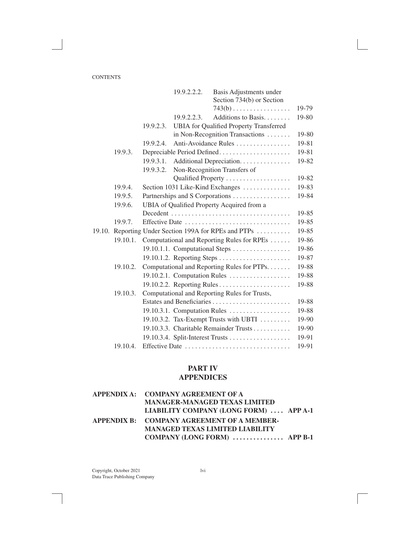|        |          |           | 19.9.2.2.2. | Basis Adjustments under                        |       |
|--------|----------|-----------|-------------|------------------------------------------------|-------|
|        |          |           |             | Section 734(b) or Section                      |       |
|        |          |           |             | $743(b)$                                       | 19-79 |
|        |          |           | 19.9.2.2.3. | Additions to Basis.                            | 19-80 |
|        |          | 19.9.2.3. |             | <b>UBIA</b> for Qualified Property Transferred |       |
|        |          |           |             | in Non-Recognition Transactions                | 19-80 |
|        |          | 19.9.2.4. |             | Anti-Avoidance Rules                           | 19-81 |
|        | 19.9.3.  |           |             | Depreciable Period Defined                     | 19-81 |
|        |          | 19.9.3.1. |             | Additional Depreciation.                       | 19-82 |
|        |          | 19.9.3.2. |             | Non-Recognition Transfers of                   |       |
|        |          |           |             | Qualified Property                             | 19-82 |
|        | 19.9.4.  |           |             | Section 1031 Like-Kind Exchanges               | 19-83 |
|        | 19.9.5.  |           |             | Partnerships and S Corporations                | 19-84 |
|        | 19.9.6.  |           |             | UBIA of Qualified Property Acquired from a     |       |
|        |          |           |             |                                                | 19-85 |
|        | 19.9.7.  |           |             | Effective Date                                 | 19-85 |
| 19.10. |          |           |             | Reporting Under Section 199A for RPEs and PTPs | 19-85 |
|        | 19.10.1. |           |             | Computational and Reporting Rules for RPEs     | 19-86 |
|        |          |           |             | 19.10.1.1. Computational Steps                 | 19-86 |
|        |          |           |             |                                                | 19-87 |
|        | 19.10.2. |           |             | Computational and Reporting Rules for PTPs.    | 19-88 |
|        |          |           |             | 19.10.2.1. Computation Rules                   | 19-88 |
|        |          |           |             |                                                | 19-88 |
|        | 19.10.3. |           |             | Computational and Reporting Rules for Trusts,  |       |
|        |          |           |             |                                                | 19-88 |
|        |          |           |             | 19.10.3.1. Computation Rules                   | 19-88 |
|        |          |           |             | 19.10.3.2. Tax-Exempt Trusts with UBTI         | 19-90 |
|        |          |           |             | 19.10.3.3. Charitable Remainder Trusts         | 19-90 |
|        |          |           |             | 19.10.3.4. Split-Interest Trusts               | 19-91 |
|        | 19.10.4. |           |             | Effective Date                                 | 19-91 |

## **PART IV APPENDICES**

| APPENDIX A: COMPANY AGREEMENT OF A         |  |
|--------------------------------------------|--|
| <b>MANAGER-MANAGED TEXAS LIMITED</b>       |  |
| LIABILITY COMPANY (LONG FORM)  APP A-1     |  |
| APPENDIX B: COMPANY AGREEMENT OF A MEMBER- |  |
| <b>MANAGED TEXAS LIMITED LIABILITY</b>     |  |
| COMPANY (LONG FORM) $\ldots$ APP B-1       |  |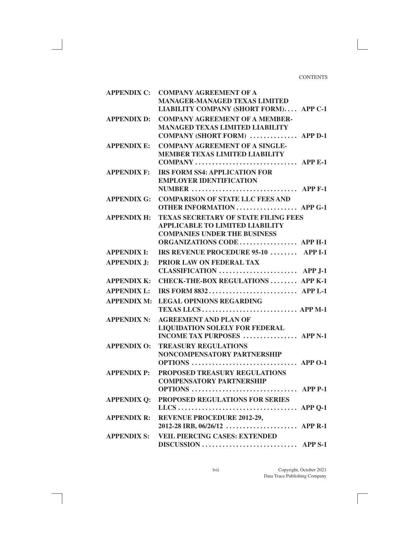|                    | APPENDIX C: COMPANY AGREEMENT OF A<br><b>MANAGER-MANAGED TEXAS LIMITED</b><br>LIABILITY COMPANY (SHORT FORM) APP C-1                                        |
|--------------------|-------------------------------------------------------------------------------------------------------------------------------------------------------------|
| <b>APPENDIX D:</b> | <b>COMPANY AGREEMENT OF A MEMBER-</b><br><b>MANAGED TEXAS LIMITED LIABILITY</b><br>COMPANY (SHORT FORM)  APP D-1                                            |
| <b>APPENDIX E:</b> | <b>COMPANY AGREEMENT OF A SINGLE-</b><br><b>MEMBER TEXAS LIMITED LIABILITY</b><br>COMPANY  APP E-1                                                          |
| <b>APPENDIX F:</b> | <b>IRS FORM SS4: APPLICATION FOR</b><br><b>EMPLOYER IDENTIFICATION</b><br>NUMBER $\ldots$ APP F-1                                                           |
| <b>APPENDIX G:</b> | <b>COMPARISON OF STATE LLC FEES AND</b><br><b>OTHER INFORMATION  APP G-1</b>                                                                                |
| <b>APPENDIX H:</b> | <b>TEXAS SECRETARY OF STATE FILING FEES</b><br><b>APPLICABLE TO LIMITED LIABILITY</b><br><b>COMPANIES UNDER THE BUSINESS</b><br>ORGANIZATIONS CODE  APP H-1 |
| <b>APPENDIX I:</b> | IRS REVENUE PROCEDURE 95-10  APP I-1                                                                                                                        |
| <b>APPENDIX J:</b> | PRIOR LAW ON FEDERAL TAX<br>CLASSIFICATION  APP J-1                                                                                                         |
| <b>APPENDIX K:</b> | CHECK-THE-BOX REGULATIONS  APP K-1                                                                                                                          |
| <b>APPENDIX L:</b> |                                                                                                                                                             |
| <b>APPENDIX M:</b> | <b>LEGAL OPINIONS REGARDING</b>                                                                                                                             |
| <b>APPENDIX N:</b> | <b>AGREEMENT AND PLAN OF</b><br><b>LIQUIDATION SOLELY FOR FEDERAL</b><br><b>INCOME TAX PURPOSES</b> APP N-1                                                 |
| <b>APPENDIX O:</b> | <b>TREASURY REGULATIONS</b><br>NONCOMPENSATORY PARTNERSHIP<br>OPTIONS  APP 0-1                                                                              |
| <b>APPENDIX P:</b> | PROPOSED TREASURY REGULATIONS<br><b>COMPENSATORY PARTNERSHIP</b><br>OPTIONS  APP P-1                                                                        |
| <b>APPENDIX Q:</b> | PROPOSED REGULATIONS FOR SERIES                                                                                                                             |
| <b>APPENDIX R:</b> | <b>REVENUE PROCEDURE 2012-29,</b><br>2012-28 IRB, $06/26/12$ APP R-1                                                                                        |
| <b>APPENDIX S:</b> | <b>VEIL PIERCING CASES: EXTENDED</b>                                                                                                                        |